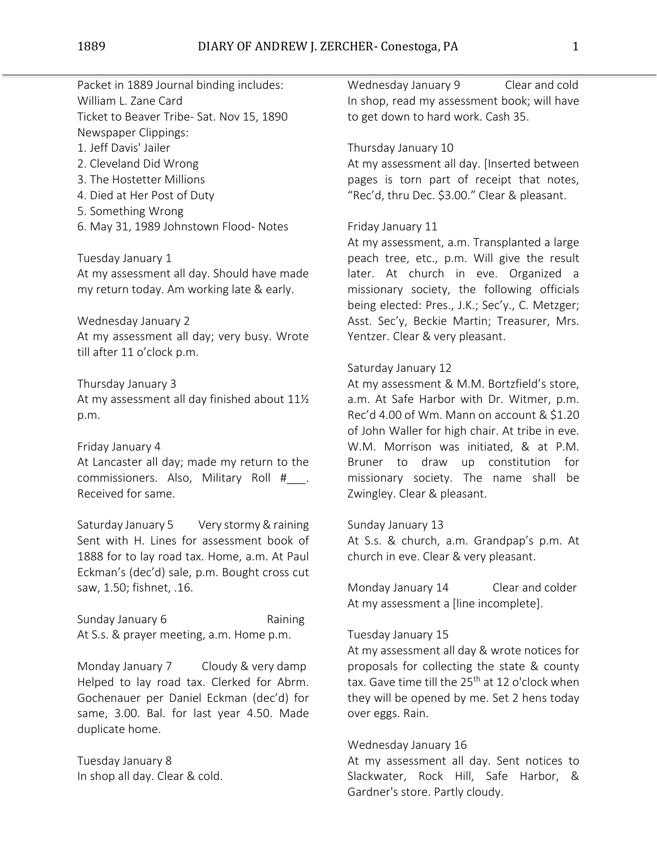Packet in 1889 Journal binding includes: William L. Zane Card Ticket to Beaver Tribe- Sat. Nov 15, 1890 Newspaper Clippings:

1. Jeff Davis' Jailer

- 2. Cleveland Did Wrong
- 3. The Hostetter Millions
- 4. Died at Her Post of Duty
- 5. Something Wrong
- 6. May 31, 1989 Johnstown Flood- Notes

Tuesday January 1

At my assessment all day. Should have made my return today. Am working late & early.

Wednesday January 2

At my assessment all day; very busy. Wrote till after 11 o'clock p.m.

Thursday January 3

At my assessment all day finished about 11½ p.m.

Friday January 4

At Lancaster all day; made my return to the commissioners. Also, Military Roll #\_\_\_. Received for same.

Saturday January 5 Very stormy & raining Sent with H. Lines for assessment book of 1888 for to lay road tax. Home, a.m. At Paul Eckman's (dec'd) sale, p.m. Bought cross cut saw, 1.50; fishnet, .16.

Sunday January 6 Raining At S.s. & prayer meeting, a.m. Home p.m.

Monday January 7 Cloudy & very damp Helped to lay road tax. Clerked for Abrm. Gochenauer per Daniel Eckman (dec'd) for same, 3.00. Bal. for last year 4.50. Made duplicate home.

Tuesday January 8 In shop all day. Clear & cold. Wednesday January 9 Clear and cold In shop, read my assessment book; will have to get down to hard work. Cash 35.

Thursday January 10

At my assessment all day. [Inserted between pages is torn part of receipt that notes, "Rec'd, thru Dec. \$3.00." Clear & pleasant.

# Friday January 11

At my assessment, a.m. Transplanted a large peach tree, etc., p.m. Will give the result later. At church in eve. Organized a missionary society, the following officials being elected: Pres., J.K.; Sec'y., C. Metzger; Asst. Sec'y, Beckie Martin; Treasurer, Mrs. Yentzer. Clear & very pleasant.

## Saturday January 12

At my assessment & M.M. Bortzfield's store, a.m. At Safe Harbor with Dr. Witmer, p.m. Rec'd 4.00 of Wm. Mann on account & \$1.20 of John Waller for high chair. At tribe in eve. W.M. Morrison was initiated, & at P.M. Bruner to draw up constitution for missionary society. The name shall be Zwingley. Clear & pleasant.

### Sunday January 13

At S.s. & church, a.m. Grandpap's p.m. At church in eve. Clear & very pleasant.

Monday January 14 Clear and colder At my assessment a [line incomplete].

### Tuesday January 15

At my assessment all day & wrote notices for proposals for collecting the state & county tax. Gave time till the 25<sup>th</sup> at 12 o'clock when they will be opened by me. Set 2 hens today over eggs. Rain.

## Wednesday January 16

At my assessment all day. Sent notices to Slackwater, Rock Hill, Safe Harbor, & Gardner's store. Partly cloudy.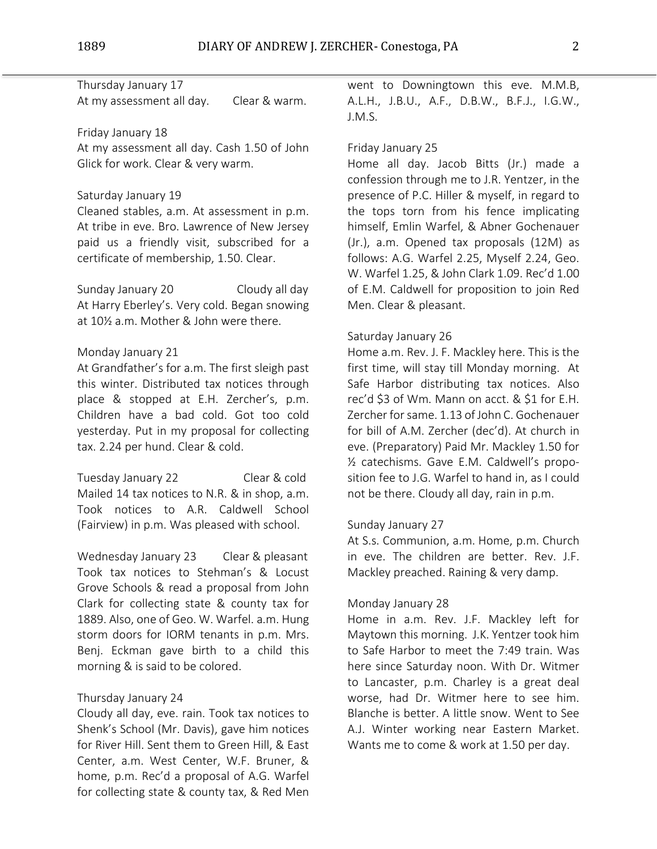Thursday January 17 At my assessment all day. Clear & warm.

## Friday January 18

At my assessment all day. Cash 1.50 of John Glick for work. Clear & very warm.

## Saturday January 19

Cleaned stables, a.m. At assessment in p.m. At tribe in eve. Bro. Lawrence of New Jersey paid us a friendly visit, subscribed for a certificate of membership, 1.50. Clear.

Sunday January 20 Cloudy all day At Harry Eberley's. Very cold. Began snowing at 10½ a.m. Mother & John were there.

## Monday January 21

At Grandfather's for a.m. The first sleigh past this winter. Distributed tax notices through place & stopped at E.H. Zercher's, p.m. Children have a bad cold. Got too cold yesterday. Put in my proposal for collecting tax. 2.24 per hund. Clear & cold.

Tuesday January 22 Clear & cold Mailed 14 tax notices to N.R. & in shop, a.m. Took notices to A.R. Caldwell School (Fairview) in p.m. Was pleased with school.

Wednesday January 23 Clear & pleasant Took tax notices to Stehman's & Locust Grove Schools & read a proposal from John Clark for collecting state & county tax for 1889. Also, one of Geo. W. Warfel. a.m. Hung storm doors for IORM tenants in p.m. Mrs. Benj. Eckman gave birth to a child this morning & is said to be colored.

# Thursday January 24

Cloudy all day, eve. rain. Took tax notices to Shenk's School (Mr. Davis), gave him notices for River Hill. Sent them to Green Hill, & East Center, a.m. West Center, W.F. Bruner, & home, p.m. Rec'd a proposal of A.G. Warfel for collecting state & county tax, & Red Men

went to Downingtown this eve. M.M.B, A.L.H., J.B.U., A.F., D.B.W., B.F.J., I.G.W., J.M.S.

## Friday January 25

Home all day. Jacob Bitts (Jr.) made a confession through me to J.R. Yentzer, in the presence of P.C. Hiller & myself, in regard to the tops torn from his fence implicating himself, Emlin Warfel, & Abner Gochenauer (Jr.), a.m. Opened tax proposals (12M) as follows: A.G. Warfel 2.25, Myself 2.24, Geo. W. Warfel 1.25, & John Clark 1.09. Rec'd 1.00 of E.M. Caldwell for proposition to join Red Men. Clear & pleasant.

#### Saturday January 26

Home a.m. Rev. J. F. Mackley here. This is the first time, will stay till Monday morning. At Safe Harbor distributing tax notices. Also rec'd \$3 of Wm. Mann on acct. & \$1 for E.H. Zercher forsame. 1.13 of John C. Gochenauer for bill of A.M. Zercher (dec'd). At church in eve. (Preparatory) Paid Mr. Mackley 1.50 for ½ catechisms. Gave E.M. Caldwell's proposition fee to J.G. Warfel to hand in, as I could not be there. Cloudy all day, rain in p.m.

## Sunday January 27

At S.s. Communion, a.m. Home, p.m. Church in eve. The children are better. Rev. J.F. Mackley preached. Raining & very damp.

## Monday January 28

Home in a.m. Rev. J.F. Mackley left for Maytown this morning. J.K. Yentzer took him to Safe Harbor to meet the 7:49 train. Was here since Saturday noon. With Dr. Witmer to Lancaster, p.m. Charley is a great deal worse, had Dr. Witmer here to see him. Blanche is better. A little snow. Went to See A.J. Winter working near Eastern Market. Wants me to come & work at 1.50 per day.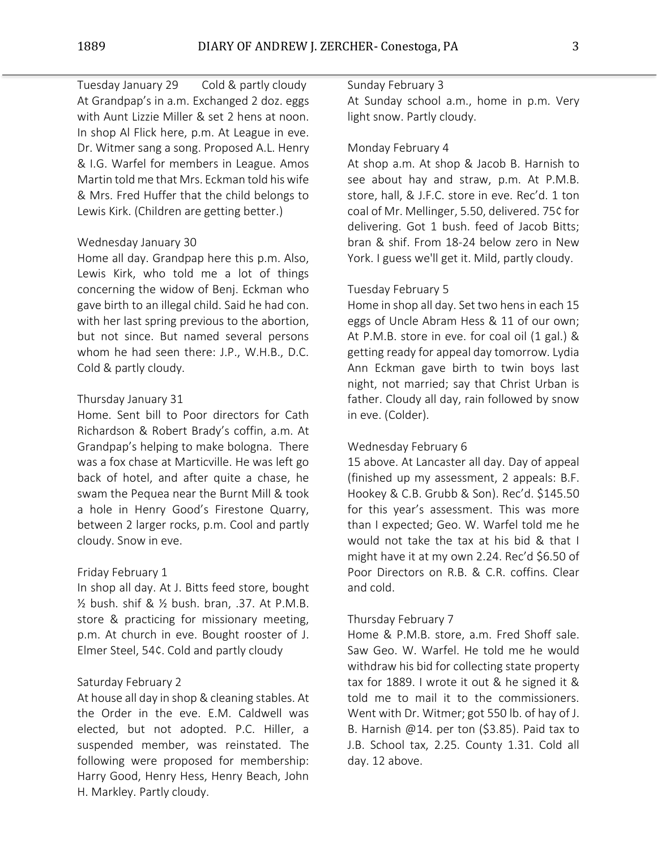Tuesday January 29 Cold & partly cloudy At Grandpap's in a.m. Exchanged 2 doz. eggs with Aunt Lizzie Miller & set 2 hens at noon. In shop Al Flick here, p.m. At League in eve. Dr. Witmer sang a song. Proposed A.L. Henry & I.G. Warfel for members in League. Amos Martin told me that Mrs. Eckman told his wife & Mrs. Fred Huffer that the child belongs to Lewis Kirk. (Children are getting better.)

# Wednesday January 30

Home all day. Grandpap here this p.m. Also, Lewis Kirk, who told me a lot of things concerning the widow of Benj. Eckman who gave birth to an illegal child. Said he had con. with her last spring previous to the abortion, but not since. But named several persons whom he had seen there: J.P., W.H.B., D.C. Cold & partly cloudy.

### Thursday January 31

Home. Sent bill to Poor directors for Cath Richardson & Robert Brady's coffin, a.m. At Grandpap's helping to make bologna. There was a fox chase at Marticville. He was left go back of hotel, and after quite a chase, he swam the Pequea near the Burnt Mill & took a hole in Henry Good's Firestone Quarry, between 2 larger rocks, p.m. Cool and partly cloudy. Snow in eve.

# Friday February 1

In shop all day. At J. Bitts feed store, bought ½ bush. shif & ½ bush. bran, .37. At P.M.B. store & practicing for missionary meeting, p.m. At church in eve. Bought rooster of J. Elmer Steel, 54¢. Cold and partly cloudy

#### Saturday February 2

At house all day in shop & cleaning stables. At the Order in the eve. E.M. Caldwell was elected, but not adopted. P.C. Hiller, a suspended member, was reinstated. The following were proposed for membership: Harry Good, Henry Hess, Henry Beach, John H. Markley. Partly cloudy.

### Sunday February 3

At Sunday school a.m., home in p.m. Very light snow. Partly cloudy.

# Monday February 4

At shop a.m. At shop & Jacob B. Harnish to see about hay and straw, p.m. At P.M.B. store, hall, & J.F.C. store in eve. Rec'd. 1 ton coal of Mr. Mellinger, 5.50, delivered. 75¢ for delivering. Got 1 bush. feed of Jacob Bitts; bran & shif. From 18-24 below zero in New York. I guess we'll get it. Mild, partly cloudy.

# Tuesday February 5

Home in shop all day. Set two hens in each 15 eggs of Uncle Abram Hess & 11 of our own; At P.M.B. store in eve. for coal oil (1 gal.) & getting ready for appeal day tomorrow. Lydia Ann Eckman gave birth to twin boys last night, not married; say that Christ Urban is father. Cloudy all day, rain followed by snow in eve. (Colder).

### Wednesday February 6

15 above. At Lancaster all day. Day of appeal (finished up my assessment, 2 appeals: B.F. Hookey & C.B. Grubb & Son). Rec'd. \$145.50 for this year's assessment. This was more than I expected; Geo. W. Warfel told me he would not take the tax at his bid & that I might have it at my own 2.24. Rec'd \$6.50 of Poor Directors on R.B. & C.R. coffins. Clear and cold.

#### Thursday February 7

Home & P.M.B. store, a.m. Fred Shoff sale. Saw Geo. W. Warfel. He told me he would withdraw his bid for collecting state property tax for 1889. I wrote it out & he signed it & told me to mail it to the commissioners. Went with Dr. Witmer; got 550 lb. of hay of J. B. Harnish @14. per ton (\$3.85). Paid tax to J.B. School tax, 2.25. County 1.31. Cold all day. 12 above.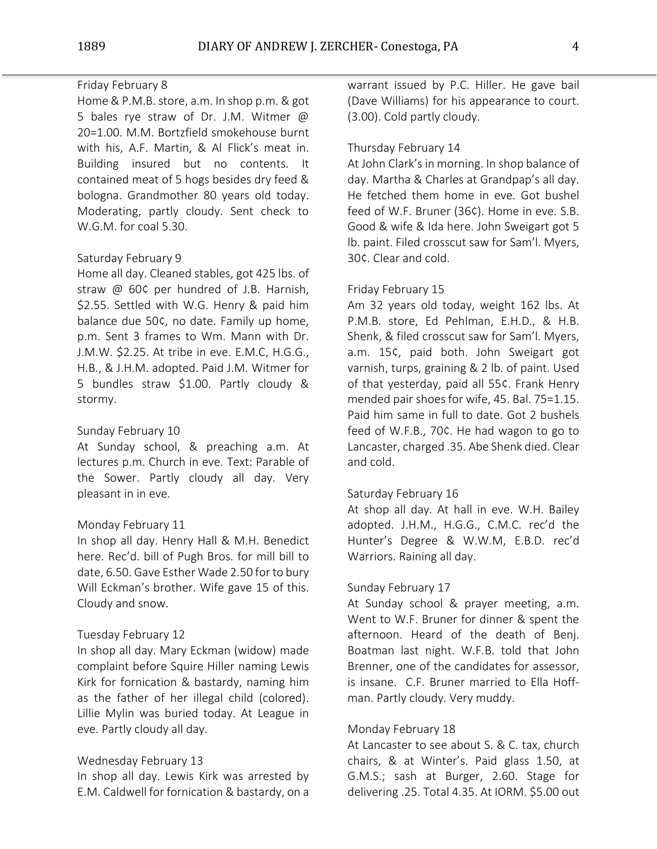# Friday February 8

Home & P.M.B. store, a.m. In shop p.m. & got 5 bales rye straw of Dr. J.M. Witmer @ 20=1.00. M.M. Bortzfield smokehouse burnt with his, A.F. Martin, & Al Flick's meat in. Building insured but no contents. It contained meat of 5 hogs besides dry feed & bologna. Grandmother 80 years old today. Moderating, partly cloudy. Sent check to W.G.M. for coal 5.30.

## Saturday February 9

Home all day. Cleaned stables, got 425 lbs. of straw @ 60¢ per hundred of J.B. Harnish, \$2.55. Settled with W.G. Henry & paid him balance due 50¢, no date. Family up home, p.m. Sent 3 frames to Wm. Mann with Dr. J.M.W. \$2.25. At tribe in eve. E.M.C, H.G.G., H.B., & J.H.M. adopted. Paid J.M. Witmer for 5 bundles straw \$1.00. Partly cloudy & stormy.

# Sunday February 10

At Sunday school, & preaching a.m. At lectures p.m. Church in eve. Text: Parable of the Sower. Partly cloudy all day. Very pleasant in in eve.

# Monday February 11

In shop all day. Henry Hall & M.H. Benedict here. Rec'd. bill of Pugh Bros. for mill bill to date, 6.50. Gave Esther Wade 2.50 for to bury Will Eckman's brother. Wife gave 15 of this. Cloudy and snow.

### Tuesday February 12

In shop all day. Mary Eckman (widow) made complaint before Squire Hiller naming Lewis Kirk for fornication & bastardy, naming him as the father of her illegal child (colored). Lillie Mylin was buried today. At League in eve. Partly cloudy all day.

### Wednesday February 13

In shop all day. Lewis Kirk was arrested by E.M. Caldwell for fornication & bastardy, on a warrant issued by P.C. Hiller. He gave bail (Dave Williams) for his appearance to court. (3.00). Cold partly cloudy.

# Thursday February 14

At John Clark's in morning. In shop balance of day. Martha & Charles at Grandpap's all day. He fetched them home in eve. Got bushel feed of W.F. Bruner (36¢). Home in eve. S.B. Good & wife & Ida here. John Sweigart got 5 lb. paint. Filed crosscut saw for Sam'l. Myers, 30¢. Clear and cold.

# Friday February 15

Am 32 years old today, weight 162 lbs. At P.M.B. store, Ed Pehlman, E.H.D., & H.B. Shenk, & filed crosscut saw for Sam'l. Myers, a.m. 15¢, paid both. John Sweigart got varnish, turps, graining & 2 lb. of paint. Used of that yesterday, paid all 55¢. Frank Henry mended pair shoes for wife, 45. Bal. 75=1.15. Paid him same in full to date. Got 2 bushels feed of W.F.B., 70¢. He had wagon to go to Lancaster, charged .35. Abe Shenk died. Clear and cold.

### Saturday February 16

At shop all day. At hall in eve. W.H. Bailey adopted. J.H.M., H.G.G., C.M.C. rec'd the Hunter's Degree & W.W.M, E.B.D. rec'd Warriors. Raining all day.

## Sunday February 17

At Sunday school & prayer meeting, a.m. Went to W.F. Bruner for dinner & spent the afternoon. Heard of the death of Benj. Boatman last night. W.F.B. told that John Brenner, one of the candidates for assessor, is insane. C.F. Bruner married to Ella Hoffman. Partly cloudy. Very muddy.

## Monday February 18

At Lancaster to see about S. & C. tax, church chairs, & at Winter's. Paid glass 1.50, at G.M.S.; sash at Burger, 2.60. Stage for delivering .25. Total 4.35. At IORM. \$5.00 out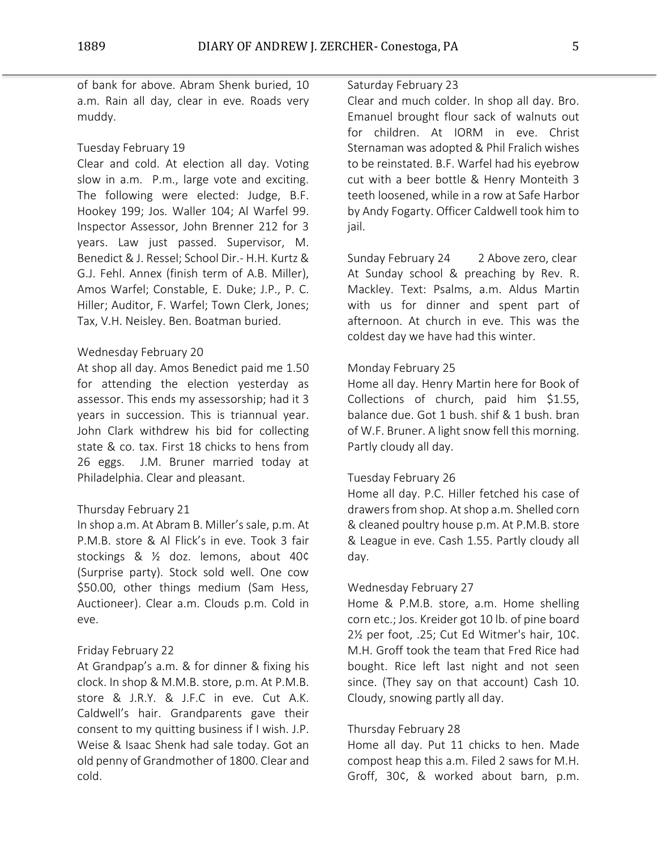of bank for above. Abram Shenk buried, 10 a.m. Rain all day, clear in eve. Roads very muddy.

# Tuesday February 19

Clear and cold. At election all day. Voting slow in a.m. P.m., large vote and exciting. The following were elected: Judge, B.F. Hookey 199; Jos. Waller 104; Al Warfel 99. Inspector Assessor, John Brenner 212 for 3 years. Law just passed. Supervisor, M. Benedict & J. Ressel; School Dir.- H.H. Kurtz & G.J. Fehl. Annex (finish term of A.B. Miller), Amos Warfel; Constable, E. Duke; J.P., P. C. Hiller; Auditor, F. Warfel; Town Clerk, Jones; Tax, V.H. Neisley. Ben. Boatman buried.

## Wednesday February 20

At shop all day. Amos Benedict paid me 1.50 for attending the election yesterday as assessor. This ends my assessorship; had it 3 years in succession. This is triannual year. John Clark withdrew his bid for collecting state & co. tax. First 18 chicks to hens from 26 eggs. J.M. Bruner married today at Philadelphia. Clear and pleasant.

### Thursday February 21

In shop a.m. At Abram B. Miller's sale, p.m. At P.M.B. store & Al Flick's in eve. Took 3 fair stockings & ½ doz. lemons, about 40¢ (Surprise party). Stock sold well. One cow \$50.00, other things medium (Sam Hess, Auctioneer). Clear a.m. Clouds p.m. Cold in eve.

### Friday February 22

At Grandpap's a.m. & for dinner & fixing his clock. In shop & M.M.B. store, p.m. At P.M.B. store & J.R.Y. & J.F.C in eve. Cut A.K. Caldwell's hair. Grandparents gave their consent to my quitting business if I wish. J.P. Weise & Isaac Shenk had sale today. Got an old penny of Grandmother of 1800. Clear and cold.

### Saturday February 23

Clear and much colder. In shop all day. Bro. Emanuel brought flour sack of walnuts out for children. At IORM in eve. Christ Sternaman was adopted & Phil Fralich wishes to be reinstated. B.F. Warfel had his eyebrow cut with a beer bottle & Henry Monteith 3 teeth loosened, while in a row at Safe Harbor by Andy Fogarty. Officer Caldwell took him to jail.

Sunday February 24 2 Above zero, clear At Sunday school & preaching by Rev. R. Mackley. Text: Psalms, a.m. Aldus Martin with us for dinner and spent part of afternoon. At church in eve. This was the coldest day we have had this winter.

## Monday February 25

Home all day. Henry Martin here for Book of Collections of church, paid him \$1.55, balance due. Got 1 bush. shif & 1 bush. bran of W.F. Bruner. A light snow fell this morning. Partly cloudy all day.

## Tuesday February 26

Home all day. P.C. Hiller fetched his case of drawers from shop. Atshop a.m. Shelled corn & cleaned poultry house p.m. At P.M.B. store & League in eve. Cash 1.55. Partly cloudy all day.

### Wednesday February 27

Home & P.M.B. store, a.m. Home shelling corn etc.; Jos. Kreider got 10 lb. of pine board 2½ per foot, .25; Cut Ed Witmer's hair, 10¢. M.H. Groff took the team that Fred Rice had bought. Rice left last night and not seen since. (They say on that account) Cash 10. Cloudy, snowing partly all day.

## Thursday February 28

Home all day. Put 11 chicks to hen. Made compost heap this a.m. Filed 2 saws for M.H. Groff, 30¢, & worked about barn, p.m.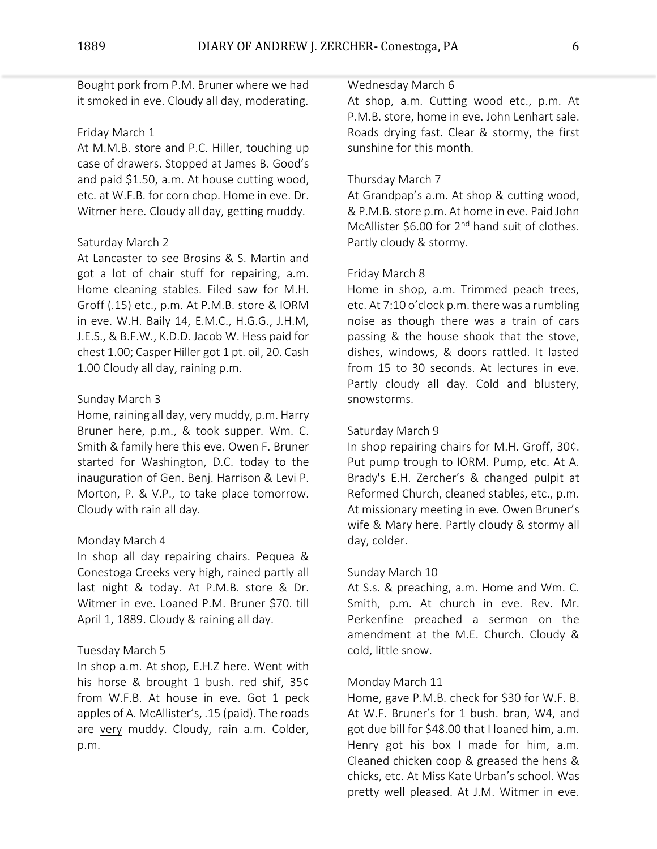Bought pork from P.M. Bruner where we had it smoked in eve. Cloudy all day, moderating.

### Friday March 1

At M.M.B. store and P.C. Hiller, touching up case of drawers. Stopped at James B. Good's and paid \$1.50, a.m. At house cutting wood, etc. at W.F.B. for corn chop. Home in eve. Dr. Witmer here. Cloudy all day, getting muddy.

# Saturday March 2

At Lancaster to see Brosins & S. Martin and got a lot of chair stuff for repairing, a.m. Home cleaning stables. Filed saw for M.H. Groff (.15) etc., p.m. At P.M.B. store & IORM in eve. W.H. Baily 14, E.M.C., H.G.G., J.H.M, J.E.S., & B.F.W., K.D.D. Jacob W. Hess paid for chest 1.00; Casper Hiller got 1 pt. oil, 20. Cash 1.00 Cloudy all day, raining p.m.

### Sunday March 3

Home, raining all day, very muddy, p.m. Harry Bruner here, p.m., & took supper. Wm. C. Smith & family here this eve. Owen F. Bruner started for Washington, D.C. today to the inauguration of Gen. Benj. Harrison & Levi P. Morton, P. & V.P., to take place tomorrow. Cloudy with rain all day.

### Monday March 4

In shop all day repairing chairs. Pequea & Conestoga Creeks very high, rained partly all last night & today. At P.M.B. store & Dr. Witmer in eve. Loaned P.M. Bruner \$70. till April 1, 1889. Cloudy & raining all day.

### Tuesday March 5

In shop a.m. At shop, E.H.Z here. Went with his horse & brought 1 bush. red shif, 35¢ from W.F.B. At house in eve. Got 1 peck apples of A. McAllister's, .15 (paid). The roads are very muddy. Cloudy, rain a.m. Colder, p.m.

## Wednesday March 6

At shop, a.m. Cutting wood etc., p.m. At P.M.B. store, home in eve. John Lenhart sale. Roads drying fast. Clear & stormy, the first sunshine for this month.

# Thursday March 7

At Grandpap's a.m. At shop & cutting wood, & P.M.B. store p.m. At home in eve. Paid John McAllister \$6.00 for 2<sup>nd</sup> hand suit of clothes. Partly cloudy & stormy.

#### Friday March 8

Home in shop, a.m. Trimmed peach trees, etc. At 7:10 o'clock p.m. there was a rumbling noise as though there was a train of cars passing & the house shook that the stove, dishes, windows, & doors rattled. It lasted from 15 to 30 seconds. At lectures in eve. Partly cloudy all day. Cold and blustery, snowstorms.

# Saturday March 9

In shop repairing chairs for M.H. Groff, 30¢. Put pump trough to IORM. Pump, etc. At A. Brady's E.H. Zercher's & changed pulpit at Reformed Church, cleaned stables, etc., p.m. At missionary meeting in eve. Owen Bruner's wife & Mary here. Partly cloudy & stormy all day, colder.

#### Sunday March 10

At S.s. & preaching, a.m. Home and Wm. C. Smith, p.m. At church in eve. Rev. Mr. Perkenfine preached a sermon on the amendment at the M.E. Church. Cloudy & cold, little snow.

#### Monday March 11

Home, gave P.M.B. check for \$30 for W.F. B. At W.F. Bruner's for 1 bush. bran, W4, and got due bill for \$48.00 that I loaned him, a.m. Henry got his box I made for him, a.m. Cleaned chicken coop & greased the hens & chicks, etc. At Miss Kate Urban's school. Was pretty well pleased. At J.M. Witmer in eve.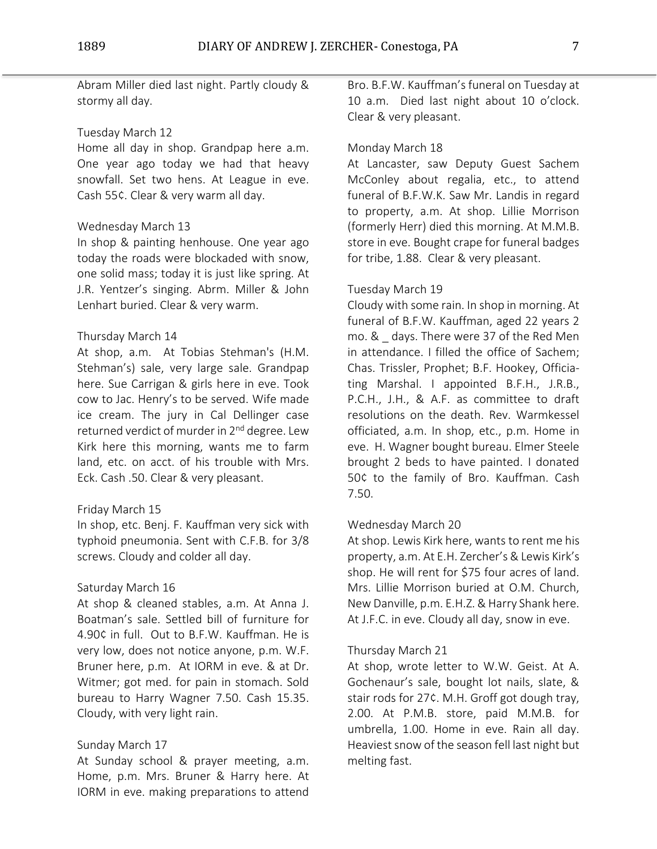Abram Miller died last night. Partly cloudy & stormy all day.

# Tuesday March 12

Home all day in shop. Grandpap here a.m. One year ago today we had that heavy snowfall. Set two hens. At League in eve. Cash 55¢. Clear & very warm all day.

## Wednesday March 13

In shop & painting henhouse. One year ago today the roads were blockaded with snow, one solid mass; today it is just like spring. At J.R. Yentzer's singing. Abrm. Miller & John Lenhart buried. Clear & very warm.

## Thursday March 14

At shop, a.m. At Tobias Stehman's (H.M. Stehman's) sale, very large sale. Grandpap here. Sue Carrigan & girls here in eve. Took cow to Jac. Henry's to be served. Wife made ice cream. The jury in Cal Dellinger case returned verdict of murder in 2<sup>nd</sup> degree. Lew Kirk here this morning, wants me to farm land, etc. on acct. of his trouble with Mrs. Eck. Cash .50. Clear & very pleasant.

### Friday March 15

In shop, etc. Benj. F. Kauffman very sick with typhoid pneumonia. Sent with C.F.B. for 3/8 screws. Cloudy and colder all day.

### Saturday March 16

At shop & cleaned stables, a.m. At Anna J. Boatman's sale. Settled bill of furniture for 4.90¢ in full. Out to B.F.W. Kauffman. He is very low, does not notice anyone, p.m. W.F. Bruner here, p.m. At IORM in eve. & at Dr. Witmer; got med. for pain in stomach. Sold bureau to Harry Wagner 7.50. Cash 15.35. Cloudy, with very light rain.

# Sunday March 17

At Sunday school & prayer meeting, a.m. Home, p.m. Mrs. Bruner & Harry here. At IORM in eve. making preparations to attend

Bro. B.F.W. Kauffman's funeral on Tuesday at 10 a.m. Died last night about 10 o'clock. Clear & very pleasant.

# Monday March 18

At Lancaster, saw Deputy Guest Sachem McConley about regalia, etc., to attend funeral of B.F.W.K. Saw Mr. Landis in regard to property, a.m. At shop. Lillie Morrison (formerly Herr) died this morning. At M.M.B. store in eve. Bought crape for funeral badges for tribe, 1.88. Clear & very pleasant.

# Tuesday March 19

Cloudy with some rain. In shop in morning. At funeral of B.F.W. Kauffman, aged 22 years 2 mo. & days. There were 37 of the Red Men in attendance. I filled the office of Sachem; Chas. Trissler, Prophet; B.F. Hookey, Officiating Marshal. I appointed B.F.H., J.R.B., P.C.H., J.H., & A.F. as committee to draft resolutions on the death. Rev. Warmkessel officiated, a.m. In shop, etc., p.m. Home in eve. H. Wagner bought bureau. Elmer Steele brought 2 beds to have painted. I donated 50¢ to the family of Bro. Kauffman. Cash 7.50.

# Wednesday March 20

At shop. Lewis Kirk here, wants to rent me his property, a.m. At E.H. Zercher's & Lewis Kirk's shop. He will rent for \$75 four acres of land. Mrs. Lillie Morrison buried at O.M. Church, New Danville, p.m. E.H.Z. & Harry Shank here. At J.F.C. in eve. Cloudy all day, snow in eve.

### Thursday March 21

At shop, wrote letter to W.W. Geist. At A. Gochenaur's sale, bought lot nails, slate, & stair rods for 27¢. M.H. Groff got dough tray, 2.00. At P.M.B. store, paid M.M.B. for umbrella, 1.00. Home in eve. Rain all day. Heaviest snow of the season fell last night but melting fast.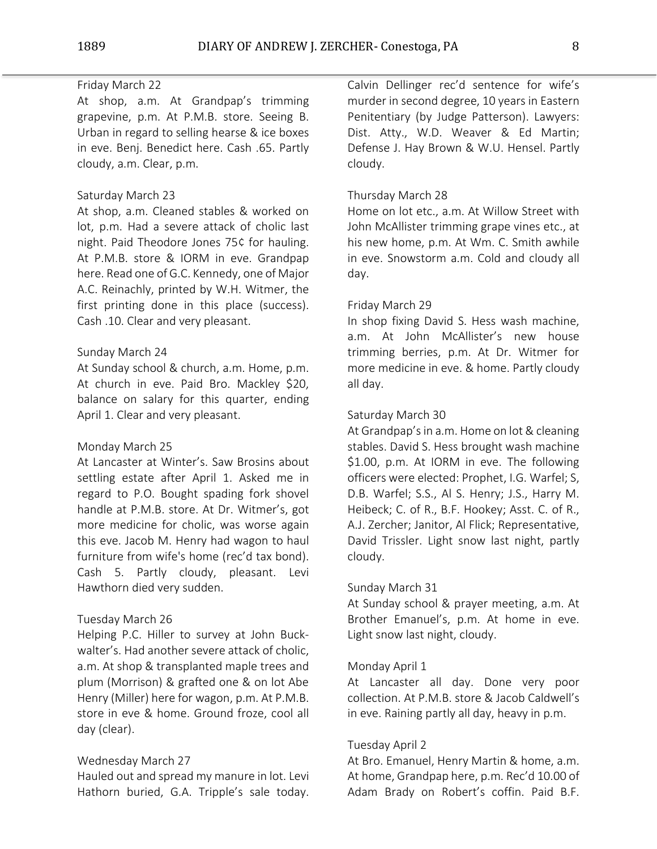## Friday March 22

At shop, a.m. At Grandpap's trimming grapevine, p.m. At P.M.B. store. Seeing B. Urban in regard to selling hearse & ice boxes in eve. Benj. Benedict here. Cash .65. Partly cloudy, a.m. Clear, p.m.

### Saturday March 23

At shop, a.m. Cleaned stables & worked on lot, p.m. Had a severe attack of cholic last night. Paid Theodore Jones 75¢ for hauling. At P.M.B. store & IORM in eve. Grandpap here. Read one of G.C. Kennedy, one of Major A.C. Reinachly, printed by W.H. Witmer, the first printing done in this place (success). Cash .10. Clear and very pleasant.

### Sunday March 24

At Sunday school & church, a.m. Home, p.m. At church in eve. Paid Bro. Mackley \$20, balance on salary for this quarter, ending April 1. Clear and very pleasant.

### Monday March 25

At Lancaster at Winter's. Saw Brosins about settling estate after April 1. Asked me in regard to P.O. Bought spading fork shovel handle at P.M.B. store. At Dr. Witmer's, got more medicine for cholic, was worse again this eve. Jacob M. Henry had wagon to haul furniture from wife's home (rec'd tax bond). Cash 5. Partly cloudy, pleasant. Levi Hawthorn died very sudden.

#### Tuesday March 26

Helping P.C. Hiller to survey at John Buckwalter's. Had another severe attack of cholic, a.m. At shop & transplanted maple trees and plum (Morrison) & grafted one & on lot Abe Henry (Miller) here for wagon, p.m. At P.M.B. store in eve & home. Ground froze, cool all day (clear).

### Wednesday March 27

Hauled out and spread my manure in lot. Levi Hathorn buried, G.A. Tripple's sale today.

Calvin Dellinger rec'd sentence for wife's murder in second degree, 10 years in Eastern Penitentiary (by Judge Patterson). Lawyers: Dist. Atty., W.D. Weaver & Ed Martin; Defense J. Hay Brown & W.U. Hensel. Partly cloudy.

#### Thursday March 28

Home on lot etc., a.m. At Willow Street with John McAllister trimming grape vines etc., at his new home, p.m. At Wm. C. Smith awhile in eve. Snowstorm a.m. Cold and cloudy all day.

#### Friday March 29

In shop fixing David S. Hess wash machine, a.m. At John McAllister's new house trimming berries, p.m. At Dr. Witmer for more medicine in eve. & home. Partly cloudy all day.

## Saturday March 30

At Grandpap's in a.m. Home on lot & cleaning stables. David S. Hess brought wash machine \$1.00, p.m. At IORM in eve. The following officers were elected: Prophet, I.G. Warfel; S, D.B. Warfel; S.S., Al S. Henry; J.S., Harry M. Heibeck; C. of R., B.F. Hookey; Asst. C. of R., A.J. Zercher; Janitor, Al Flick; Representative, David Trissler. Light snow last night, partly cloudy.

#### Sunday March 31

At Sunday school & prayer meeting, a.m. At Brother Emanuel's, p.m. At home in eve. Light snow last night, cloudy.

#### Monday April 1

At Lancaster all day. Done very poor collection. At P.M.B. store & Jacob Caldwell's in eve. Raining partly all day, heavy in p.m.

#### Tuesday April 2

At Bro. Emanuel, Henry Martin & home, a.m. At home, Grandpap here, p.m. Rec'd 10.00 of Adam Brady on Robert's coffin. Paid B.F.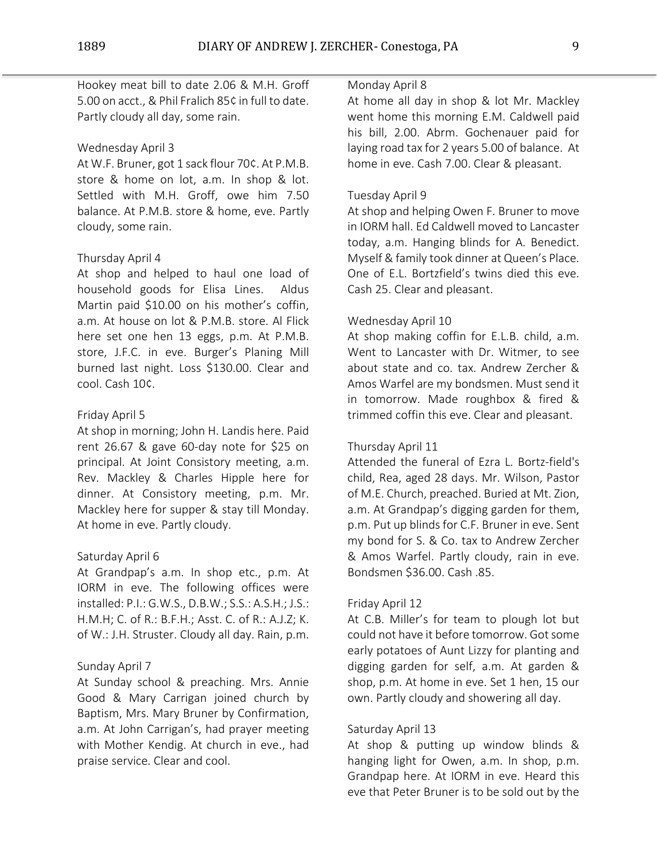Hookey meat bill to date 2.06 & M.H. Groff 5.00 on acct., & Phil Fralich 85¢ in full to date. Partly cloudy all day, some rain.

## Wednesday April 3

At W.F. Bruner, got 1 sack flour 70¢. At P.M.B. store & home on lot, a.m. In shop & lot. Settled with M.H. Groff, owe him 7.50 balance. At P.M.B. store & home, eve. Partly cloudy, some rain.

## Thursday April 4

At shop and helped to haul one load of household goods for Elisa Lines. Aldus Martin paid \$10.00 on his mother's coffin, a.m. At house on lot & P.M.B. store. Al Flick here set one hen 13 eggs, p.m. At P.M.B. store, J.F.C. in eve. Burger's Planing Mill burned last night. Loss \$130.00. Clear and cool. Cash 10¢.

## Friday April 5

At shop in morning; John H. Landis here. Paid rent 26.67 & gave 60-day note for \$25 on principal. At Joint Consistory meeting, a.m. Rev. Mackley & Charles Hipple here for dinner. At Consistory meeting, p.m. Mr. Mackley here for supper & stay till Monday. At home in eve. Partly cloudy.

### Saturday April 6

At Grandpap's a.m. In shop etc., p.m. At IORM in eve. The following offices were installed: P.I.: G.W.S., D.B.W.; S.S.: A.S.H.; J.S.: H.M.H; C. of R.: B.F.H.; Asst. C. of R.: A.J.Z; K. of W.: J.H. Struster. Cloudy all day. Rain, p.m.

# Sunday April 7

At Sunday school & preaching. Mrs. Annie Good & Mary Carrigan joined church by Baptism, Mrs. Mary Bruner by Confirmation, a.m. At John Carrigan's, had prayer meeting with Mother Kendig. At church in eve., had praise service. Clear and cool.

### Monday April 8

At home all day in shop & lot Mr. Mackley went home this morning E.M. Caldwell paid his bill, 2.00. Abrm. Gochenauer paid for laying road tax for 2 years 5.00 of balance. At home in eve. Cash 7.00. Clear & pleasant.

## Tuesday April 9

At shop and helping Owen F. Bruner to move in IORM hall. Ed Caldwell moved to Lancaster today, a.m. Hanging blinds for A. Benedict. Myself & family took dinner at Queen's Place. One of E.L. Bortzfield's twins died this eve. Cash 25. Clear and pleasant.

## Wednesday April 10

At shop making coffin for E.L.B. child, a.m. Went to Lancaster with Dr. Witmer, to see about state and co. tax. Andrew Zercher & Amos Warfel are my bondsmen. Must send it in tomorrow. Made roughbox & fired & trimmed coffin this eve. Clear and pleasant.

### Thursday April 11

Attended the funeral of Ezra L. Bortz-field's child, Rea, aged 28 days. Mr. Wilson, Pastor of M.E. Church, preached. Buried at Mt. Zion, a.m. At Grandpap's digging garden for them, p.m. Put up blinds for C.F. Bruner in eve. Sent my bond for S. & Co. tax to Andrew Zercher & Amos Warfel. Partly cloudy, rain in eve. Bondsmen \$36.00. Cash .85.

### Friday April 12

At C.B. Miller's for team to plough lot but could not have it before tomorrow. Got some early potatoes of Aunt Lizzy for planting and digging garden for self, a.m. At garden & shop, p.m. At home in eve. Set 1 hen, 15 our own. Partly cloudy and showering all day.

### Saturday April 13

At shop & putting up window blinds & hanging light for Owen, a.m. In shop, p.m. Grandpap here. At IORM in eve. Heard this eve that Peter Bruner is to be sold out by the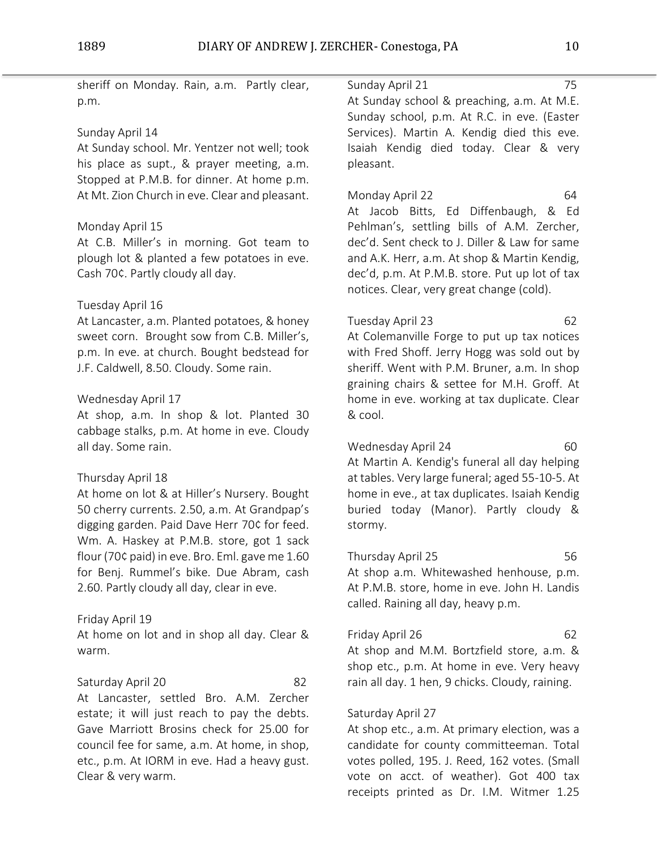| sheriff on Monday. Rain, a.m. Partly clear,<br>p.m.                                                                                                                                                                                                                                   | Sunday April 21<br>75<br>At Sunday school & preaching, a.m. At M.E.<br>Sunday school, p.m. At R.C. in eve. (Easter                                                                                                                                                                                          |
|---------------------------------------------------------------------------------------------------------------------------------------------------------------------------------------------------------------------------------------------------------------------------------------|-------------------------------------------------------------------------------------------------------------------------------------------------------------------------------------------------------------------------------------------------------------------------------------------------------------|
| Sunday April 14<br>At Sunday school. Mr. Yentzer not well; took<br>his place as supt., & prayer meeting, a.m.<br>Stopped at P.M.B. for dinner. At home p.m.                                                                                                                           | Services). Martin A. Kendig died this eve.<br>Isaiah Kendig died today. Clear & very<br>pleasant.                                                                                                                                                                                                           |
| At Mt. Zion Church in eve. Clear and pleasant.<br>Monday April 15<br>At C.B. Miller's in morning. Got team to<br>plough lot & planted a few potatoes in eve.<br>Cash 70¢. Partly cloudy all day.<br>Tuesday April 16                                                                  | Monday April 22<br>64<br>At Jacob Bitts, Ed Diffenbaugh, & Ed<br>Pehlman's, settling bills of A.M. Zercher,<br>dec'd. Sent check to J. Diller & Law for same<br>and A.K. Herr, a.m. At shop & Martin Kendig,<br>dec'd, p.m. At P.M.B. store. Put up lot of tax<br>notices. Clear, very great change (cold). |
| At Lancaster, a.m. Planted potatoes, & honey<br>sweet corn. Brought sow from C.B. Miller's,<br>p.m. In eve. at church. Bought bedstead for<br>J.F. Caldwell, 8.50. Cloudy. Some rain.<br>Wednesday April 17<br>At shop, a.m. In shop & lot. Planted 30                                | Tuesday April 23<br>62<br>At Colemanville Forge to put up tax notices<br>with Fred Shoff. Jerry Hogg was sold out by<br>sheriff. Went with P.M. Bruner, a.m. In shop<br>graining chairs & settee for M.H. Groff. At<br>home in eve. working at tax duplicate. Clear<br>& cool.                              |
| cabbage stalks, p.m. At home in eve. Cloudy<br>all day. Some rain.<br>Thursday April 18<br>At home on lot & at Hiller's Nursery. Bought<br>50 cherry currents. 2.50, a.m. At Grandpap's<br>digging garden. Paid Dave Herr 70¢ for feed.<br>Wm. A. Haskey at P.M.B. store, got 1 sack  | Wednesday April 24<br>60<br>At Martin A. Kendig's funeral all day helping<br>at tables. Very large funeral; aged 55-10-5. At<br>home in eve., at tax duplicates. Isaiah Kendig<br>buried today (Manor). Partly cloudy &<br>stormy.                                                                          |
| flour (70¢ paid) in eve. Bro. Eml. gave me 1.60<br>for Benj. Rummel's bike. Due Abram, cash<br>2.60. Partly cloudy all day, clear in eve.                                                                                                                                             | Thursday April 25<br>56.<br>At shop a.m. Whitewashed henhouse, p.m.<br>At P.M.B. store, home in eve. John H. Landis<br>called. Raining all day, heavy p.m.                                                                                                                                                  |
| Friday April 19<br>At home on lot and in shop all day. Clear &<br>warm.                                                                                                                                                                                                               | Friday April 26<br>62<br>At shop and M.M. Bortzfield store, a.m. &<br>shop etc., p.m. At home in eve. Very heavy                                                                                                                                                                                            |
| Saturday April 20<br>82<br>At Lancaster, settled Bro. A.M. Zercher<br>estate; it will just reach to pay the debts.<br>Gave Marriott Brosins check for 25.00 for<br>council fee for same, a.m. At home, in shop,<br>etc., p.m. At IORM in eve. Had a heavy gust.<br>Clear & very warm. | rain all day. 1 hen, 9 chicks. Cloudy, raining.<br>Saturday April 27<br>At shop etc., a.m. At primary election, was a<br>candidate for county committeeman. Total<br>votes polled, 195. J. Reed, 162 votes. (Small<br>vote on acct. of weather). Got 400 tax<br>receipts printed as Dr. I.M. Witmer 1.25    |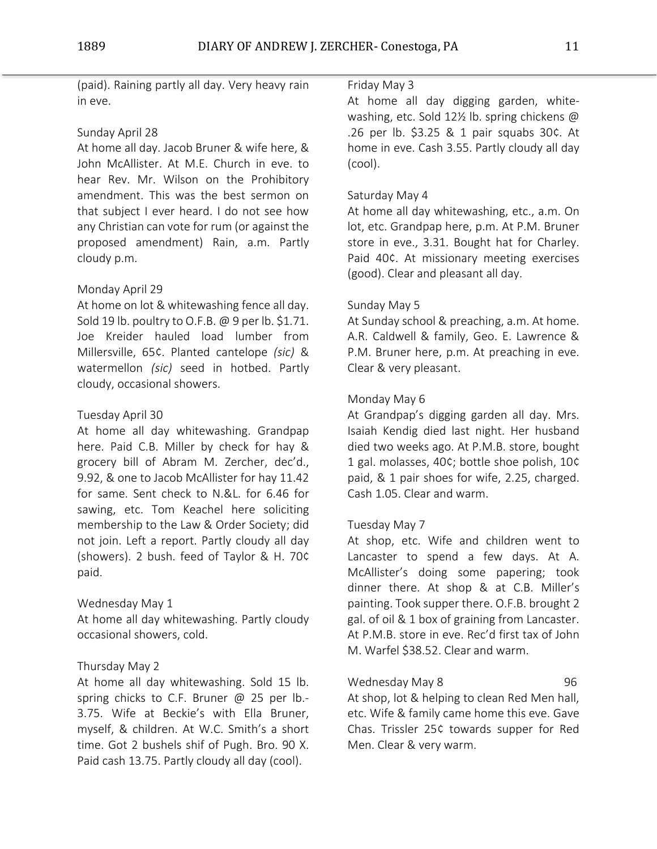(paid). Raining partly all day. Very heavy rain in eve.

# Sunday April 28

At home all day. Jacob Bruner & wife here, & John McAllister. At M.E. Church in eve. to hear Rev. Mr. Wilson on the Prohibitory amendment. This was the best sermon on that subject I ever heard. I do not see how any Christian can vote for rum (or against the proposed amendment) Rain, a.m. Partly cloudy p.m.

# Monday April 29

At home on lot & whitewashing fence all day. Sold 19 lb. poultry to O.F.B. @ 9 per lb. \$1.71. Joe Kreider hauled load lumber from Millersville, 65¢. Planted cantelope *(sic)* & watermellon *(sic)* seed in hotbed. Partly cloudy, occasional showers.

# Tuesday April 30

At home all day whitewashing. Grandpap here. Paid C.B. Miller by check for hay & grocery bill of Abram M. Zercher, dec'd., 9.92, & one to Jacob McAllister for hay 11.42 for same. Sent check to N.&L. for 6.46 for sawing, etc. Tom Keachel here soliciting membership to the Law & Order Society; did not join. Left a report. Partly cloudy all day (showers). 2 bush. feed of Taylor & H. 70¢ paid.

# Wednesday May 1

At home all day whitewashing. Partly cloudy occasional showers, cold.

# Thursday May 2

At home all day whitewashing. Sold 15 lb. spring chicks to C.F. Bruner @ 25 per lb.-3.75. Wife at Beckie's with Ella Bruner, myself, & children. At W.C. Smith's a short time. Got 2 bushels shif of Pugh. Bro. 90 X. Paid cash 13.75. Partly cloudy all day (cool).

# Friday May 3

At home all day digging garden, whitewashing, etc. Sold 12½ lb. spring chickens @ .26 per lb. \$3.25 & 1 pair squabs 30¢. At home in eve. Cash 3.55. Partly cloudy all day (cool).

# Saturday May 4

At home all day whitewashing, etc., a.m. On lot, etc. Grandpap here, p.m. At P.M. Bruner store in eve., 3.31. Bought hat for Charley. Paid 40¢. At missionary meeting exercises (good). Clear and pleasant all day.

# Sunday May 5

At Sunday school & preaching, a.m. At home. A.R. Caldwell & family, Geo. E. Lawrence & P.M. Bruner here, p.m. At preaching in eve. Clear & very pleasant.

# Monday May 6

At Grandpap's digging garden all day. Mrs. Isaiah Kendig died last night. Her husband died two weeks ago. At P.M.B. store, bought 1 gal. molasses, 40¢; bottle shoe polish, 10¢ paid, & 1 pair shoes for wife, 2.25, charged. Cash 1.05. Clear and warm.

# Tuesday May 7

At shop, etc. Wife and children went to Lancaster to spend a few days. At A. McAllister's doing some papering; took dinner there. At shop & at C.B. Miller's painting. Took supper there. O.F.B. brought 2 gal. of oil & 1 box of graining from Lancaster. At P.M.B. store in eve. Rec'd first tax of John M. Warfel \$38.52. Clear and warm.

# Wednesday May 8 1996

At shop, lot & helping to clean Red Men hall, etc. Wife & family came home this eve. Gave Chas. Trissler 25¢ towards supper for Red Men. Clear & very warm.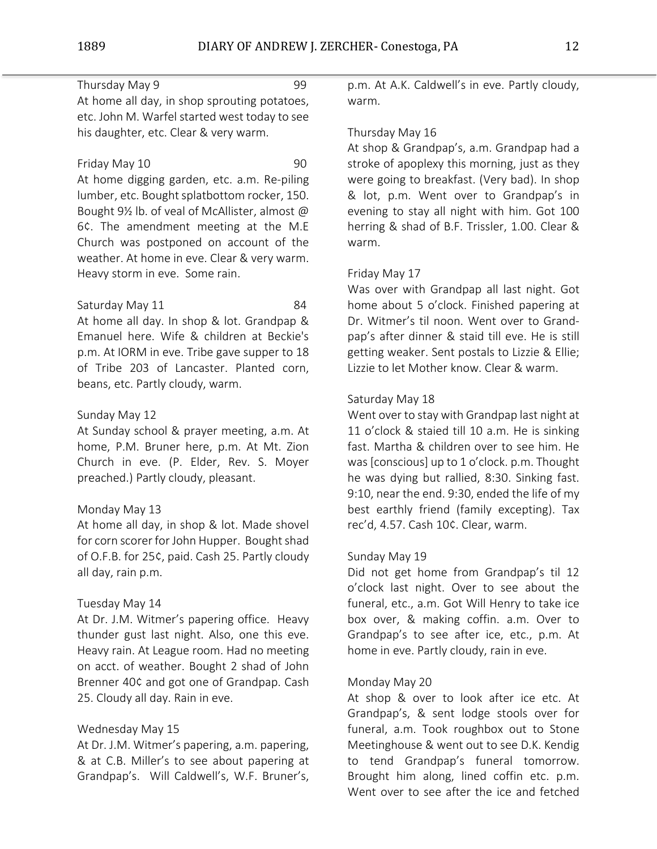# Thursday May 9 99

At home all day, in shop sprouting potatoes, etc. John M. Warfel started west today to see his daughter, etc. Clear & very warm.

## Friday May 10 90

At home digging garden, etc. a.m. Re-piling lumber, etc. Bought splatbottom rocker, 150. Bought 9½ lb. of veal of McAllister, almost @ 6¢. The amendment meeting at the M.E Church was postponed on account of the weather. At home in eve. Clear & very warm. Heavy storm in eve. Some rain.

Saturday May 11 84

At home all day. In shop & lot. Grandpap & Emanuel here. Wife & children at Beckie's p.m. At IORM in eve. Tribe gave supper to 18 of Tribe 203 of Lancaster. Planted corn, beans, etc. Partly cloudy, warm.

# Sunday May 12

At Sunday school & prayer meeting, a.m. At home, P.M. Bruner here, p.m. At Mt. Zion Church in eve. (P. Elder, Rev. S. Moyer preached.) Partly cloudy, pleasant.

# Monday May 13

At home all day, in shop & lot. Made shovel for corn scorer for John Hupper. Bought shad of O.F.B. for 25¢, paid. Cash 25. Partly cloudy all day, rain p.m.

# Tuesday May 14

At Dr. J.M. Witmer's papering office. Heavy thunder gust last night. Also, one this eve. Heavy rain. At League room. Had no meeting on acct. of weather. Bought 2 shad of John Brenner 40¢ and got one of Grandpap. Cash 25. Cloudy all day. Rain in eve.

# Wednesday May 15

At Dr. J.M. Witmer's papering, a.m. papering, & at C.B. Miller's to see about papering at Grandpap's. Will Caldwell's, W.F. Bruner's,

p.m. At A.K. Caldwell's in eve. Partly cloudy, warm.

# Thursday May 16

At shop & Grandpap's, a.m. Grandpap had a stroke of apoplexy this morning, just as they were going to breakfast. (Very bad). In shop & lot, p.m. Went over to Grandpap's in evening to stay all night with him. Got 100 herring & shad of B.F. Trissler, 1.00. Clear & warm.

# Friday May 17

Was over with Grandpap all last night. Got home about 5 o'clock. Finished papering at Dr. Witmer's til noon. Went over to Grandpap's after dinner & staid till eve. He is still getting weaker. Sent postals to Lizzie & Ellie; Lizzie to let Mother know. Clear & warm.

# Saturday May 18

Went over to stay with Grandpap last night at 11 o'clock & staied till 10 a.m. He is sinking fast. Martha & children over to see him. He was [conscious] up to 1 o'clock. p.m. Thought he was dying but rallied, 8:30. Sinking fast. 9:10, near the end. 9:30, ended the life of my best earthly friend (family excepting). Tax rec'd, 4.57. Cash 10¢. Clear, warm.

# Sunday May 19

Did not get home from Grandpap's til 12 o'clock last night. Over to see about the funeral, etc., a.m. Got Will Henry to take ice box over, & making coffin. a.m. Over to Grandpap's to see after ice, etc., p.m. At home in eve. Partly cloudy, rain in eve.

# Monday May 20

At shop & over to look after ice etc. At Grandpap's, & sent lodge stools over for funeral, a.m. Took roughbox out to Stone Meetinghouse & went out to see D.K. Kendig to tend Grandpap's funeral tomorrow. Brought him along, lined coffin etc. p.m. Went over to see after the ice and fetched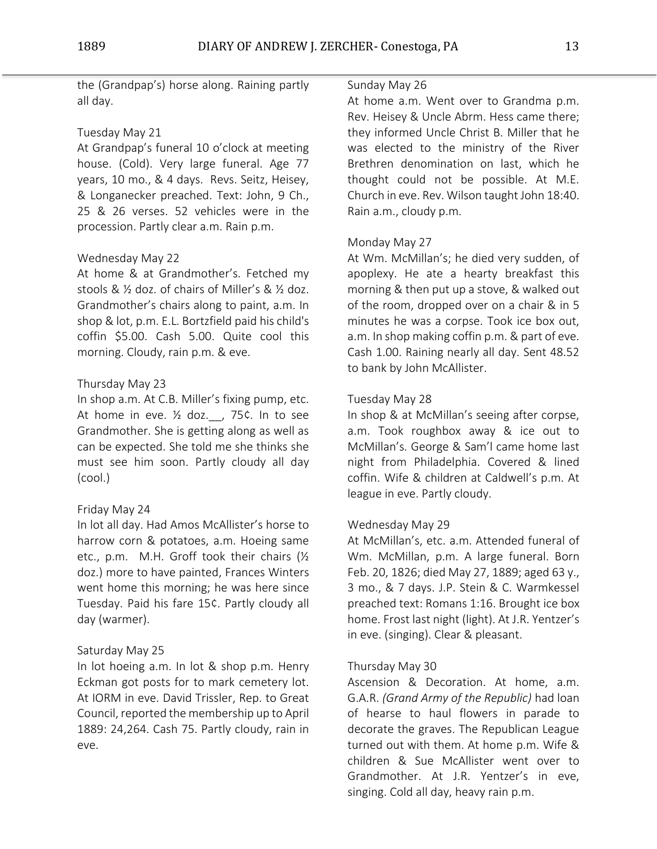the (Grandpap's) horse along. Raining partly all day.

# Tuesday May 21

At Grandpap's funeral 10 o'clock at meeting house. (Cold). Very large funeral. Age 77 years, 10 mo., & 4 days. Revs. Seitz, Heisey, & Longanecker preached. Text: John, 9 Ch., 25 & 26 verses. 52 vehicles were in the procession. Partly clear a.m. Rain p.m.

# Wednesday May 22

At home & at Grandmother's. Fetched my stools & ½ doz. of chairs of Miller's & ½ doz. Grandmother's chairs along to paint, a.m. In shop & lot, p.m. E.L. Bortzfield paid his child's coffin \$5.00. Cash 5.00. Quite cool this morning. Cloudy, rain p.m. & eve.

# Thursday May 23

In shop a.m. At C.B. Miller's fixing pump, etc. At home in eve.  $\frac{1}{2}$  doz. , 75¢. In to see Grandmother. She is getting along as well as can be expected. She told me she thinks she must see him soon. Partly cloudy all day (cool.)

# Friday May 24

In lot all day. Had Amos McAllister's horse to harrow corn & potatoes, a.m. Hoeing same etc., p.m. M.H. Groff took their chairs (½ doz.) more to have painted, Frances Winters went home this morning; he was here since Tuesday. Paid his fare 15¢. Partly cloudy all day (warmer).

# Saturday May 25

In lot hoeing a.m. In lot & shop p.m. Henry Eckman got posts for to mark cemetery lot. At IORM in eve. David Trissler, Rep. to Great Council, reported the membership up to April 1889: 24,264. Cash 75. Partly cloudy, rain in eve.

## Sunday May 26

At home a.m. Went over to Grandma p.m. Rev. Heisey & Uncle Abrm. Hess came there; they informed Uncle Christ B. Miller that he was elected to the ministry of the River Brethren denomination on last, which he thought could not be possible. At M.E. Church in eve. Rev. Wilson taught John 18:40. Rain a.m., cloudy p.m.

# Monday May 27

At Wm. McMillan's; he died very sudden, of apoplexy. He ate a hearty breakfast this morning & then put up a stove, & walked out of the room, dropped over on a chair & in 5 minutes he was a corpse. Took ice box out, a.m. In shop making coffin p.m. & part of eve. Cash 1.00. Raining nearly all day. Sent 48.52 to bank by John McAllister.

# Tuesday May 28

In shop & at McMillan's seeing after corpse, a.m. Took roughbox away & ice out to McMillan's. George & Sam'l came home last night from Philadelphia. Covered & lined coffin. Wife & children at Caldwell's p.m. At league in eve. Partly cloudy.

# Wednesday May 29

At McMillan's, etc. a.m. Attended funeral of Wm. McMillan, p.m. A large funeral. Born Feb. 20, 1826; died May 27, 1889; aged 63 y., 3 mo., & 7 days. J.P. Stein & C. Warmkessel preached text: Romans 1:16. Brought ice box home. Frost last night (light). At J.R. Yentzer's in eve. (singing). Clear & pleasant.

# Thursday May 30

Ascension & Decoration. At home, a.m. G.A.R. *(Grand Army of the Republic)* had loan of hearse to haul flowers in parade to decorate the graves. The Republican League turned out with them. At home p.m. Wife & children & Sue McAllister went over to Grandmother. At J.R. Yentzer's in eve, singing. Cold all day, heavy rain p.m.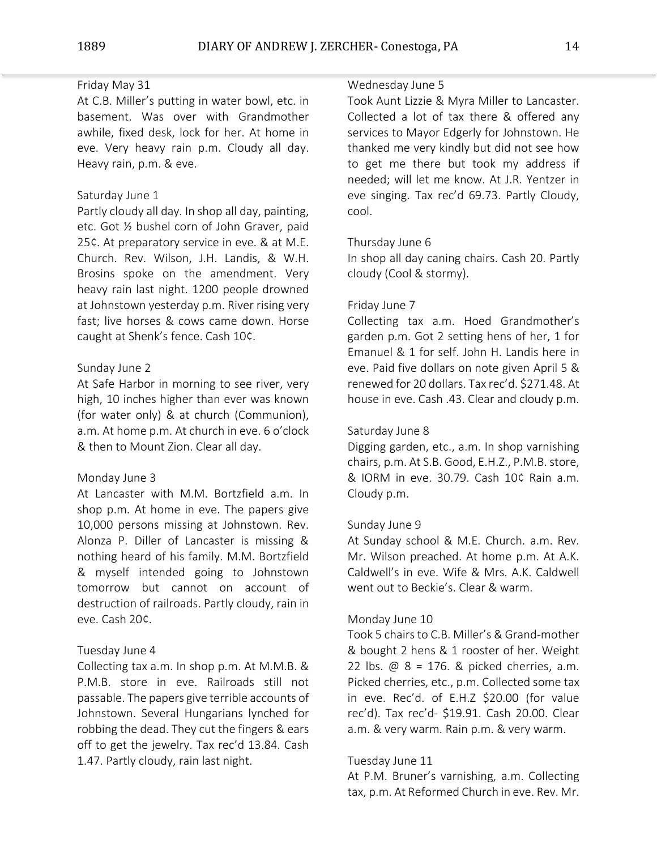# Friday May 31

At C.B. Miller's putting in water bowl, etc. in basement. Was over with Grandmother awhile, fixed desk, lock for her. At home in eve. Very heavy rain p.m. Cloudy all day. Heavy rain, p.m. & eve.

## Saturday June 1

Partly cloudy all day. In shop all day, painting, etc. Got ½ bushel corn of John Graver, paid 25¢. At preparatory service in eve. & at M.E. Church. Rev. Wilson, J.H. Landis, & W.H. Brosins spoke on the amendment. Very heavy rain last night. 1200 people drowned at Johnstown yesterday p.m. River rising very fast; live horses & cows came down. Horse caught at Shenk's fence. Cash 10¢.

## Sunday June 2

At Safe Harbor in morning to see river, very high, 10 inches higher than ever was known (for water only) & at church (Communion), a.m. At home p.m. At church in eve. 6 o'clock & then to Mount Zion. Clear all day.

### Monday June 3

At Lancaster with M.M. Bortzfield a.m. In shop p.m. At home in eve. The papers give 10,000 persons missing at Johnstown. Rev. Alonza P. Diller of Lancaster is missing & nothing heard of his family. M.M. Bortzfield & myself intended going to Johnstown tomorrow but cannot on account of destruction of railroads. Partly cloudy, rain in eve. Cash 20¢.

### Tuesday June 4

Collecting tax a.m. In shop p.m. At M.M.B. & P.M.B. store in eve. Railroads still not passable. The papers give terrible accounts of Johnstown. Several Hungarians lynched for robbing the dead. They cut the fingers & ears off to get the jewelry. Tax rec'd 13.84. Cash 1.47. Partly cloudy, rain last night.

## Wednesday June 5

Took Aunt Lizzie & Myra Miller to Lancaster. Collected a lot of tax there & offered any services to Mayor Edgerly for Johnstown. He thanked me very kindly but did not see how to get me there but took my address if needed; will let me know. At J.R. Yentzer in eve singing. Tax rec'd 69.73. Partly Cloudy, cool.

### Thursday June 6

In shop all day caning chairs. Cash 20. Partly cloudy (Cool & stormy).

#### Friday June 7

Collecting tax a.m. Hoed Grandmother's garden p.m. Got 2 setting hens of her, 1 for Emanuel & 1 for self. John H. Landis here in eve. Paid five dollars on note given April 5 & renewed for 20 dollars. Tax rec'd. \$271.48. At house in eve. Cash .43. Clear and cloudy p.m.

## Saturday June 8

Digging garden, etc., a.m. In shop varnishing chairs, p.m. At S.B. Good, E.H.Z., P.M.B. store, & IORM in eve. 30.79. Cash 10¢ Rain a.m. Cloudy p.m.

#### Sunday June 9

At Sunday school & M.E. Church. a.m. Rev. Mr. Wilson preached. At home p.m. At A.K. Caldwell's in eve. Wife & Mrs. A.K. Caldwell went out to Beckie's. Clear & warm.

#### Monday June 10

Took 5 chairs to C.B. Miller's & Grand-mother & bought 2 hens & 1 rooster of her. Weight 22 lbs. @ 8 = 176. & picked cherries, a.m. Picked cherries, etc., p.m. Collected some tax in eve. Rec'd. of E.H.Z \$20.00 (for value rec'd). Tax rec'd- \$19.91. Cash 20.00. Clear a.m. & very warm. Rain p.m. & very warm.

## Tuesday June 11

At P.M. Bruner's varnishing, a.m. Collecting tax, p.m. At Reformed Church in eve. Rev. Mr.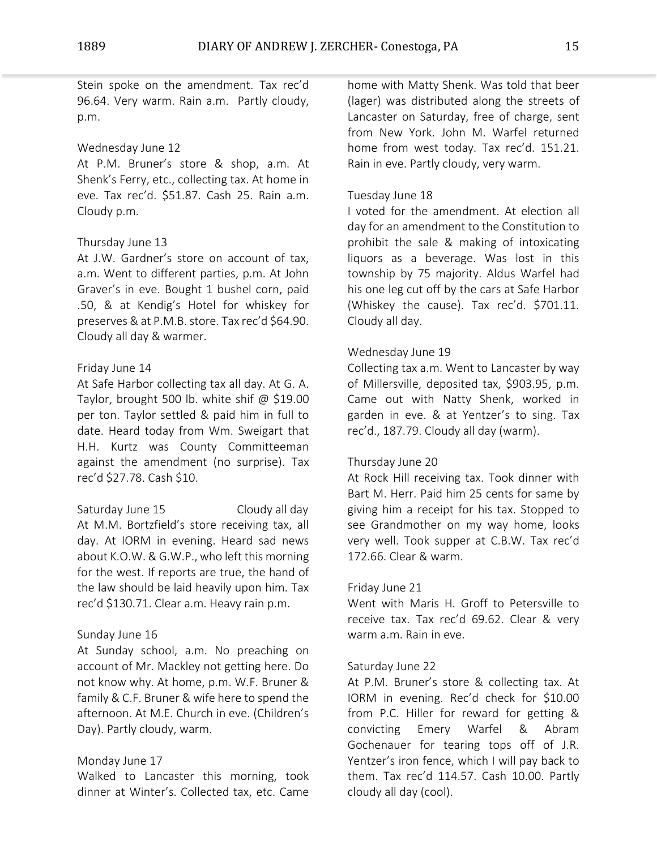Stein spoke on the amendment. Tax rec'd 96.64. Very warm. Rain a.m. Partly cloudy, p.m.

# Wednesday June 12

At P.M. Bruner's store & shop, a.m. At Shenk's Ferry, etc., collecting tax. At home in eve. Tax rec'd. \$51.87. Cash 25. Rain a.m. Cloudy p.m.

# Thursday June 13

At J.W. Gardner's store on account of tax, a.m. Went to different parties, p.m. At John Graver's in eve. Bought 1 bushel corn, paid .50, & at Kendig's Hotel for whiskey for preserves & at P.M.B. store. Tax rec'd \$64.90. Cloudy all day & warmer.

# Friday June 14

At Safe Harbor collecting tax all day. At G. A. Taylor, brought 500 lb. white shif @ \$19.00 per ton. Taylor settled & paid him in full to date. Heard today from Wm. Sweigart that H.H. Kurtz was County Committeeman against the amendment (no surprise). Tax rec'd \$27.78. Cash \$10.

Saturday June 15 Cloudy all day At M.M. Bortzfield's store receiving tax, all day. At IORM in evening. Heard sad news about K.O.W. & G.W.P., who left this morning for the west. If reports are true, the hand of the law should be laid heavily upon him. Tax rec'd \$130.71. Clear a.m. Heavy rain p.m.

# Sunday June 16

At Sunday school, a.m. No preaching on account of Mr. Mackley not getting here. Do not know why. At home, p.m. W.F. Bruner & family & C.F. Bruner & wife here to spend the afternoon. At M.E. Church in eve. (Children's Day). Partly cloudy, warm.

# Monday June 17

Walked to Lancaster this morning, took dinner at Winter's. Collected tax, etc. Came

home with Matty Shenk. Was told that beer (lager) was distributed along the streets of Lancaster on Saturday, free of charge, sent from New York. John M. Warfel returned home from west today. Tax rec'd. 151.21. Rain in eve. Partly cloudy, very warm.

# Tuesday June 18

I voted for the amendment. At election all day for an amendment to the Constitution to prohibit the sale & making of intoxicating liquors as a beverage. Was lost in this township by 75 majority. Aldus Warfel had his one leg cut off by the cars at Safe Harbor (Whiskey the cause). Tax rec'd. \$701.11. Cloudy all day.

# Wednesday June 19

Collecting tax a.m. Went to Lancaster by way of Millersville, deposited tax, \$903.95, p.m. Came out with Natty Shenk, worked in garden in eve. & at Yentzer's to sing. Tax rec'd., 187.79. Cloudy all day (warm).

# Thursday June 20

At Rock Hill receiving tax. Took dinner with Bart M. Herr. Paid him 25 cents for same by giving him a receipt for his tax. Stopped to see Grandmother on my way home, looks very well. Took supper at C.B.W. Tax rec'd 172.66. Clear & warm.

# Friday June 21

Went with Maris H. Groff to Petersville to receive tax. Tax rec'd 69.62. Clear & very warm a.m. Rain in eve.

# Saturday June 22

At P.M. Bruner's store & collecting tax. At IORM in evening. Rec'd check for \$10.00 from P.C. Hiller for reward for getting & convicting Emery Warfel & Abram Gochenauer for tearing tops off of J.R. Yentzer's iron fence, which I will pay back to them. Tax rec'd 114.57. Cash 10.00. Partly cloudy all day (cool).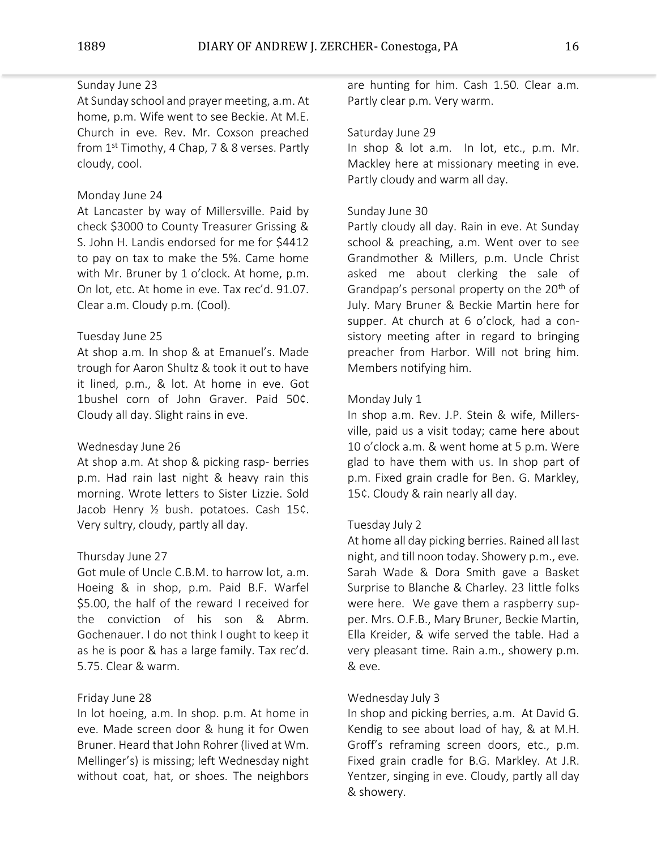# Sunday June 23

At Sunday school and prayer meeting, a.m. At home, p.m. Wife went to see Beckie. At M.E. Church in eve. Rev. Mr. Coxson preached from 1<sup>st</sup> Timothy, 4 Chap, 7 & 8 verses. Partly cloudy, cool.

## Monday June 24

At Lancaster by way of Millersville. Paid by check \$3000 to County Treasurer Grissing & S. John H. Landis endorsed for me for \$4412 to pay on tax to make the 5%. Came home with Mr. Bruner by 1 o'clock. At home, p.m. On lot, etc. At home in eve. Tax rec'd. 91.07. Clear a.m. Cloudy p.m. (Cool).

## Tuesday June 25

At shop a.m. In shop & at Emanuel's. Made trough for Aaron Shultz & took it out to have it lined, p.m., & lot. At home in eve. Got 1bushel corn of John Graver. Paid 50¢. Cloudy all day. Slight rains in eve.

### Wednesday June 26

At shop a.m. At shop & picking rasp- berries p.m. Had rain last night & heavy rain this morning. Wrote letters to Sister Lizzie. Sold Jacob Henry ½ bush. potatoes. Cash 15¢. Very sultry, cloudy, partly all day.

### Thursday June 27

Got mule of Uncle C.B.M. to harrow lot, a.m. Hoeing & in shop, p.m. Paid B.F. Warfel \$5.00, the half of the reward I received for the conviction of his son & Abrm. Gochenauer. I do not think I ought to keep it as he is poor & has a large family. Tax rec'd. 5.75. Clear & warm.

# Friday June 28

In lot hoeing, a.m. In shop. p.m. At home in eve. Made screen door & hung it for Owen Bruner. Heard that John Rohrer (lived at Wm. Mellinger's) is missing; left Wednesday night without coat, hat, or shoes. The neighbors

are hunting for him. Cash 1.50. Clear a.m. Partly clear p.m. Very warm.

### Saturday June 29

In shop & lot a.m. In lot, etc., p.m. Mr. Mackley here at missionary meeting in eve. Partly cloudy and warm all day.

## Sunday June 30

Partly cloudy all day. Rain in eve. At Sunday school & preaching, a.m. Went over to see Grandmother & Millers, p.m. Uncle Christ asked me about clerking the sale of Grandpap's personal property on the  $20<sup>th</sup>$  of July. Mary Bruner & Beckie Martin here for supper. At church at 6 o'clock, had a consistory meeting after in regard to bringing preacher from Harbor. Will not bring him. Members notifying him.

## Monday July 1

In shop a.m. Rev. J.P. Stein & wife, Millersville, paid us a visit today; came here about 10 o'clock a.m. & went home at 5 p.m. Were glad to have them with us. In shop part of p.m. Fixed grain cradle for Ben. G. Markley, 15¢. Cloudy & rain nearly all day.

### Tuesday July 2

At home all day picking berries. Rained all last night, and till noon today. Showery p.m., eve. Sarah Wade & Dora Smith gave a Basket Surprise to Blanche & Charley. 23 little folks were here. We gave them a raspberry supper. Mrs. O.F.B., Mary Bruner, Beckie Martin, Ella Kreider, & wife served the table. Had a very pleasant time. Rain a.m., showery p.m. & eve.

## Wednesday July 3

In shop and picking berries, a.m. At David G. Kendig to see about load of hay, & at M.H. Groff's reframing screen doors, etc., p.m. Fixed grain cradle for B.G. Markley. At J.R. Yentzer, singing in eve. Cloudy, partly all day & showery.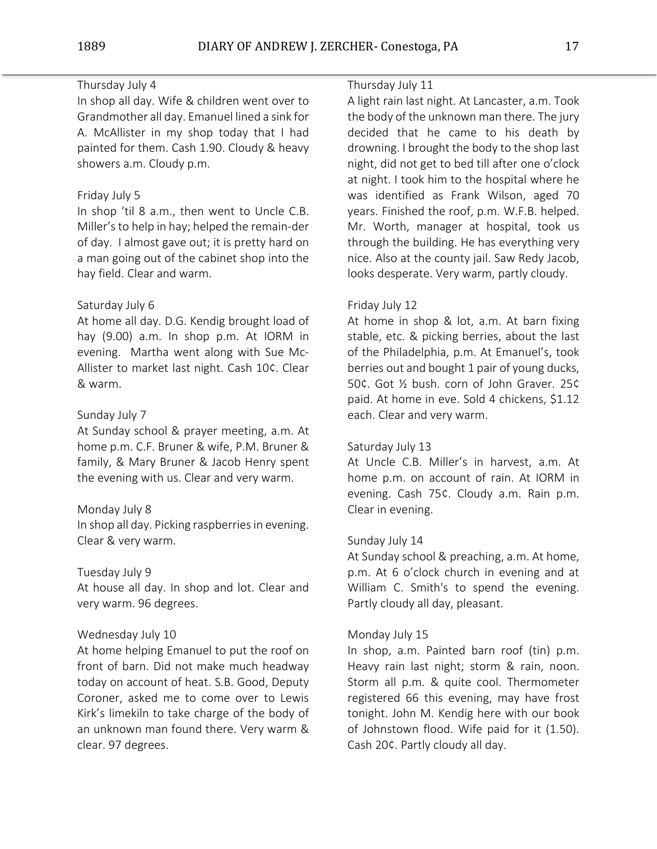# Thursday July 4

In shop all day. Wife & children went over to Grandmother all day. Emanuel lined a sink for A. McAllister in my shop today that I had painted for them. Cash 1.90. Cloudy & heavy showers a.m. Cloudy p.m.

# Friday July 5

In shop 'til 8 a.m., then went to Uncle C.B. Miller'sto help in hay; helped the remain-der of day. I almost gave out; it is pretty hard on a man going out of the cabinet shop into the hay field. Clear and warm.

## Saturday July 6

At home all day. D.G. Kendig brought load of hay (9.00) a.m. In shop p.m. At IORM in evening. Martha went along with Sue Mc-Allister to market last night. Cash 10¢. Clear & warm.

## Sunday July 7

At Sunday school & prayer meeting, a.m. At home p.m. C.F. Bruner & wife, P.M. Bruner & family, & Mary Bruner & Jacob Henry spent the evening with us. Clear and very warm.

### Monday July 8

In shop all day. Picking raspberries in evening. Clear & very warm.

### Tuesday July 9

At house all day. In shop and lot. Clear and very warm. 96 degrees.

### Wednesday July 10

At home helping Emanuel to put the roof on front of barn. Did not make much headway today on account of heat. S.B. Good, Deputy Coroner, asked me to come over to Lewis Kirk's limekiln to take charge of the body of an unknown man found there. Very warm & clear. 97 degrees.

## Thursday July 11

A light rain last night. At Lancaster, a.m. Took the body of the unknown man there. The jury decided that he came to his death by drowning. I brought the body to the shop last night, did not get to bed till after one o'clock at night. I took him to the hospital where he was identified as Frank Wilson, aged 70 years. Finished the roof, p.m. W.F.B. helped. Mr. Worth, manager at hospital, took us through the building. He has everything very nice. Also at the county jail. Saw Redy Jacob, looks desperate. Very warm, partly cloudy.

#### Friday July 12

At home in shop & lot, a.m. At barn fixing stable, etc. & picking berries, about the last of the Philadelphia, p.m. At Emanuel's, took berries out and bought 1 pair of young ducks, 50¢. Got ½ bush. corn of John Graver. 25¢ paid. At home in eve. Sold 4 chickens, \$1.12 each. Clear and very warm.

## Saturday July 13

At Uncle C.B. Miller's in harvest, a.m. At home p.m. on account of rain. At IORM in evening. Cash 75¢. Cloudy a.m. Rain p.m. Clear in evening.

#### Sunday July 14

At Sunday school & preaching, a.m. At home, p.m. At 6 o'clock church in evening and at William C. Smith's to spend the evening. Partly cloudy all day, pleasant.

### Monday July 15

In shop, a.m. Painted barn roof (tin) p.m. Heavy rain last night; storm & rain, noon. Storm all p.m. & quite cool. Thermometer registered 66 this evening, may have frost tonight. John M. Kendig here with our book of Johnstown flood. Wife paid for it (1.50). Cash 20¢. Partly cloudy all day.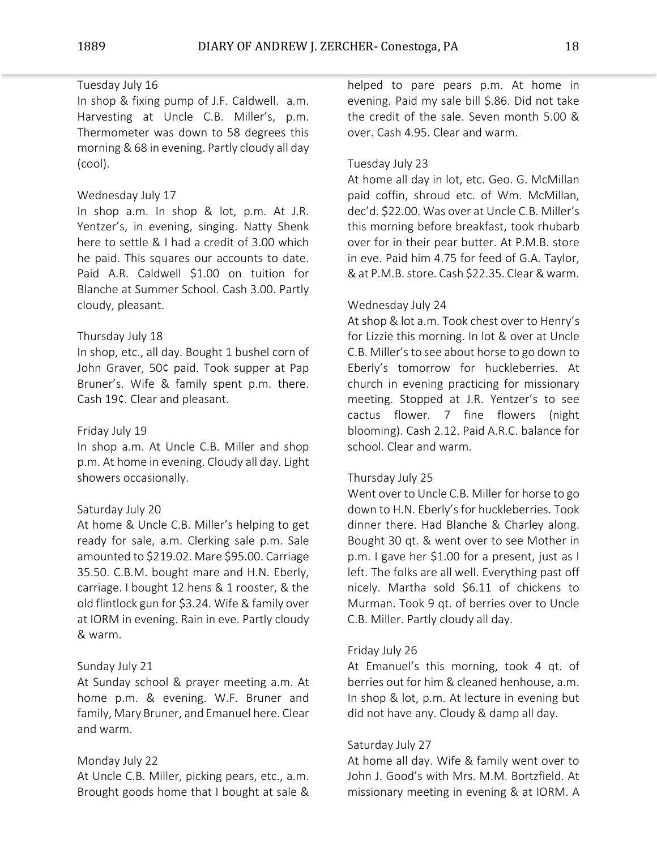# Tuesday July 16

In shop & fixing pump of J.F. Caldwell. a.m. Harvesting at Uncle C.B. Miller's, p.m. Thermometer was down to 58 degrees this morning & 68 in evening. Partly cloudy all day (cool).

## Wednesday July 17

In shop a.m. In shop & lot, p.m. At J.R. Yentzer's, in evening, singing. Natty Shenk here to settle & I had a credit of 3.00 which he paid. This squares our accounts to date. Paid A.R. Caldwell \$1.00 on tuition for Blanche at Summer School. Cash 3.00. Partly cloudy, pleasant.

## Thursday July 18

In shop, etc., all day. Bought 1 bushel corn of John Graver, 50¢ paid. Took supper at Pap Bruner's. Wife & family spent p.m. there. Cash 19¢. Clear and pleasant.

## Friday July 19

In shop a.m. At Uncle C.B. Miller and shop p.m. At home in evening. Cloudy all day. Light showers occasionally.

### Saturday July 20

At home & Uncle C.B. Miller's helping to get ready for sale, a.m. Clerking sale p.m. Sale amounted to \$219.02. Mare \$95.00. Carriage 35.50. C.B.M. bought mare and H.N. Eberly, carriage. I bought 12 hens & 1 rooster, & the old flintlock gun for \$3.24. Wife & family over at IORM in evening. Rain in eve. Partly cloudy & warm.

# Sunday July 21

At Sunday school & prayer meeting a.m. At home p.m. & evening. W.F. Bruner and family, Mary Bruner, and Emanuel here. Clear and warm.

### Monday July 22

At Uncle C.B. Miller, picking pears, etc., a.m. Brought goods home that I bought at sale & helped to pare pears p.m. At home in evening. Paid my sale bill \$.86. Did not take the credit of the sale. Seven month 5.00 & over. Cash 4.95. Clear and warm.

### Tuesday July 23

At home all day in lot, etc. Geo. G. McMillan paid coffin, shroud etc. of Wm. McMillan, dec'd. \$22.00. Was over at Uncle C.B. Miller's this morning before breakfast, took rhubarb over for in their pear butter. At P.M.B. store in eve. Paid him 4.75 for feed of G.A. Taylor, & at P.M.B. store. Cash \$22.35. Clear & warm.

### Wednesday July 24

At shop & lot a.m. Took chest over to Henry's for Lizzie this morning. In lot & over at Uncle C.B. Miller's to see about horse to go down to Eberly's tomorrow for huckleberries. At church in evening practicing for missionary meeting. Stopped at J.R. Yentzer's to see cactus flower. 7 fine flowers (night blooming). Cash 2.12. Paid A.R.C. balance for school. Clear and warm.

### Thursday July 25

Went over to Uncle C.B. Miller for horse to go down to H.N. Eberly's for huckleberries. Took dinner there. Had Blanche & Charley along. Bought 30 qt. & went over to see Mother in p.m. I gave her \$1.00 for a present, just as I left. The folks are all well. Everything past off nicely. Martha sold \$6.11 of chickens to Murman. Took 9 qt. of berries over to Uncle C.B. Miller. Partly cloudy all day.

### Friday July 26

At Emanuel's this morning, took 4 qt. of berries out for him & cleaned henhouse, a.m. In shop & lot, p.m. At lecture in evening but did not have any. Cloudy & damp all day.

# Saturday July 27

At home all day. Wife & family went over to John J. Good's with Mrs. M.M. Bortzfield. At missionary meeting in evening & at IORM. A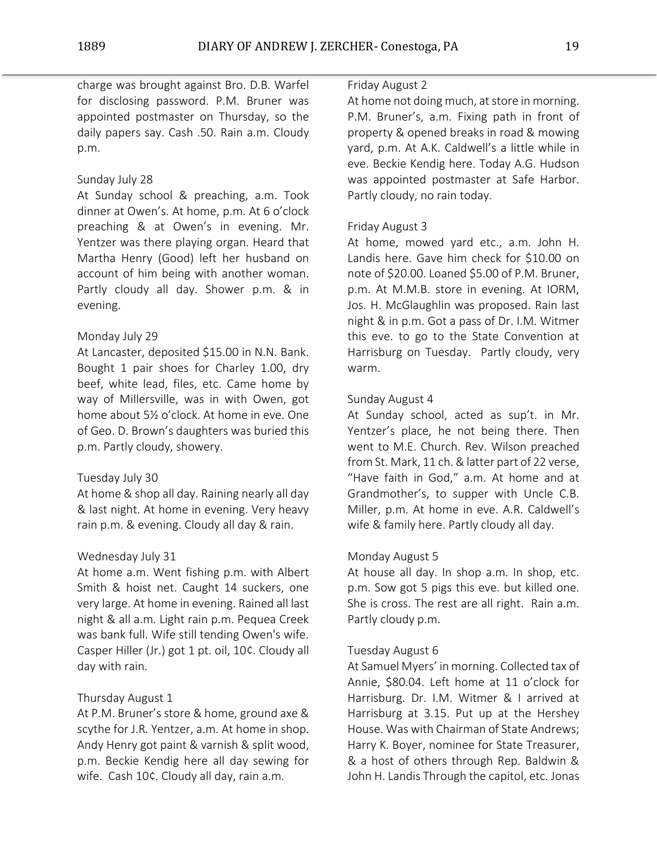charge was brought against Bro. D.B. Warfel for disclosing password. P.M. Bruner was appointed postmaster on Thursday, so the daily papers say. Cash .50. Rain a.m. Cloudy p.m.

# Sunday July 28

At Sunday school & preaching, a.m. Took dinner at Owen's. At home, p.m. At 6 o'clock preaching & at Owen's in evening. Mr. Yentzer was there playing organ. Heard that Martha Henry (Good) left her husband on account of him being with another woman. Partly cloudy all day. Shower p.m. & in evening.

# Monday July 29

At Lancaster, deposited \$15.00 in N.N. Bank. Bought 1 pair shoes for Charley 1.00, dry beef, white lead, files, etc. Came home by way of Millersville, was in with Owen, got home about 5½ o'clock. At home in eve. One of Geo. D. Brown's daughters was buried this p.m. Partly cloudy, showery.

# Tuesday July 30

At home & shop all day. Raining nearly all day & last night. At home in evening. Very heavy rain p.m. & evening. Cloudy all day & rain.

# Wednesday July 31

At home a.m. Went fishing p.m. with Albert Smith & hoist net. Caught 14 suckers, one very large. At home in evening. Rained all last night & all a.m. Light rain p.m. Pequea Creek was bank full. Wife still tending Owen's wife. Casper Hiller (Jr.) got 1 pt. oil, 10¢. Cloudy all day with rain.

# Thursday August 1

At P.M. Bruner's store & home, ground axe & scythe for J.R. Yentzer, a.m. At home in shop. Andy Henry got paint & varnish & split wood, p.m. Beckie Kendig here all day sewing for wife. Cash 10¢. Cloudy all day, rain a.m.

# Friday August 2

At home not doing much, at store in morning. P.M. Bruner's, a.m. Fixing path in front of property & opened breaks in road & mowing yard, p.m. At A.K. Caldwell's a little while in eve. Beckie Kendig here. Today A.G. Hudson was appointed postmaster at Safe Harbor. Partly cloudy, no rain today.

# Friday August 3

At home, mowed yard etc., a.m. John H. Landis here. Gave him check for \$10.00 on note of \$20.00. Loaned \$5.00 of P.M. Bruner, p.m. At M.M.B. store in evening. At IORM, Jos. H. McGlaughlin was proposed. Rain last night & in p.m. Got a pass of Dr. I.M. Witmer this eve. to go to the State Convention at Harrisburg on Tuesday. Partly cloudy, very warm.

# Sunday August 4

At Sunday school, acted as sup't. in Mr. Yentzer's place, he not being there. Then went to M.E. Church. Rev. Wilson preached from St. Mark, 11 ch. & latter part of 22 verse, "Have faith in God," a.m. At home and at Grandmother's, to supper with Uncle C.B. Miller, p.m. At home in eve. A.R. Caldwell's wife & family here. Partly cloudy all day.

# Monday August 5

At house all day. In shop a.m. In shop, etc. p.m. Sow got 5 pigs this eve. but killed one. She is cross. The rest are all right. Rain a.m. Partly cloudy p.m.

# Tuesday August 6

At Samuel Myers' in morning. Collected tax of Annie, \$80.04. Left home at 11 o'clock for Harrisburg. Dr. I.M. Witmer & I arrived at Harrisburg at 3.15. Put up at the Hershey House. Was with Chairman of State Andrews; Harry K. Boyer, nominee for State Treasurer, & a host of others through Rep. Baldwin & John H. Landis Through the capitol, etc. Jonas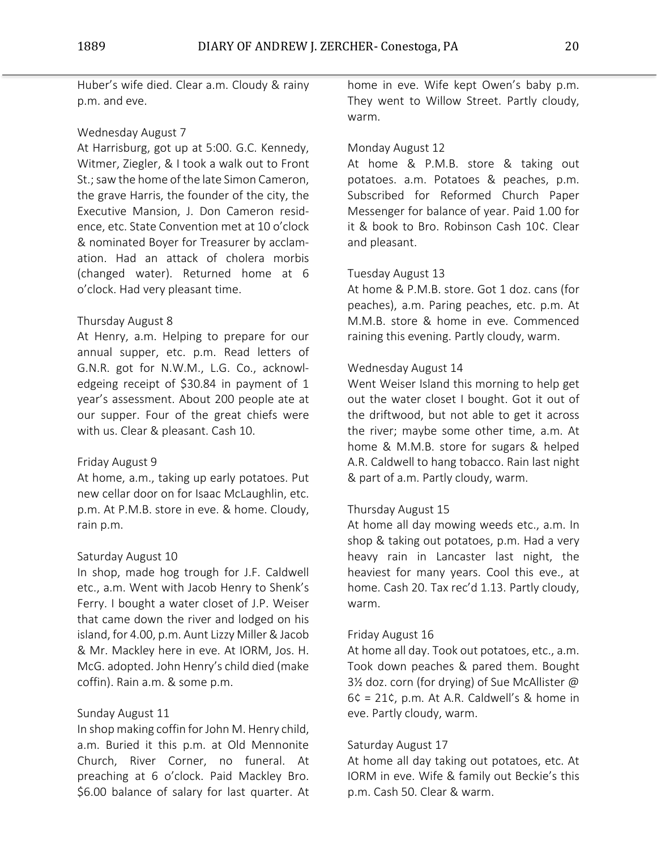Huber's wife died. Clear a.m. Cloudy & rainy p.m. and eve.

# Wednesday August 7

At Harrisburg, got up at 5:00. G.C. Kennedy, Witmer, Ziegler, & I took a walk out to Front St.; saw the home of the late Simon Cameron, the grave Harris, the founder of the city, the Executive Mansion, J. Don Cameron residence, etc. State Convention met at 10 o'clock & nominated Boyer for Treasurer by acclamation. Had an attack of cholera morbis (changed water). Returned home at 6 o'clock. Had very pleasant time.

## Thursday August 8

At Henry, a.m. Helping to prepare for our annual supper, etc. p.m. Read letters of G.N.R. got for N.W.M., L.G. Co., acknowledgeing receipt of \$30.84 in payment of 1 year's assessment. About 200 people ate at our supper. Four of the great chiefs were with us. Clear & pleasant. Cash 10.

### Friday August 9

At home, a.m., taking up early potatoes. Put new cellar door on for Isaac McLaughlin, etc. p.m. At P.M.B. store in eve. & home. Cloudy, rain p.m.

### Saturday August 10

In shop, made hog trough for J.F. Caldwell etc., a.m. Went with Jacob Henry to Shenk's Ferry. I bought a water closet of J.P. Weiser that came down the river and lodged on his island, for 4.00, p.m. Aunt Lizzy Miller & Jacob & Mr. Mackley here in eve. At IORM, Jos. H. McG. adopted. John Henry's child died (make coffin). Rain a.m. & some p.m.

# Sunday August 11

In shop making coffin for John M. Henry child, a.m. Buried it this p.m. at Old Mennonite Church, River Corner, no funeral. At preaching at 6 o'clock. Paid Mackley Bro. \$6.00 balance of salary for last quarter. At

home in eve. Wife kept Owen's baby p.m. They went to Willow Street. Partly cloudy, warm.

# Monday August 12

At home & P.M.B. store & taking out potatoes. a.m. Potatoes & peaches, p.m. Subscribed for Reformed Church Paper Messenger for balance of year. Paid 1.00 for it & book to Bro. Robinson Cash 10¢. Clear and pleasant.

## Tuesday August 13

At home & P.M.B. store. Got 1 doz. cans (for peaches), a.m. Paring peaches, etc. p.m. At M.M.B. store & home in eve. Commenced raining this evening. Partly cloudy, warm.

## Wednesday August 14

Went Weiser Island this morning to help get out the water closet I bought. Got it out of the driftwood, but not able to get it across the river; maybe some other time, a.m. At home & M.M.B. store for sugars & helped A.R. Caldwell to hang tobacco. Rain last night & part of a.m. Partly cloudy, warm.

# Thursday August 15

At home all day mowing weeds etc., a.m. In shop & taking out potatoes, p.m. Had a very heavy rain in Lancaster last night, the heaviest for many years. Cool this eve., at home. Cash 20. Tax rec'd 1.13. Partly cloudy, warm.

## Friday August 16

At home all day. Took out potatoes, etc., a.m. Took down peaches & pared them. Bought 3½ doz. corn (for drying) of Sue McAllister @  $6¢ = 21¢$ , p.m. At A.R. Caldwell's & home in eve. Partly cloudy, warm.

# Saturday August 17

At home all day taking out potatoes, etc. At IORM in eve. Wife & family out Beckie's this p.m. Cash 50. Clear & warm.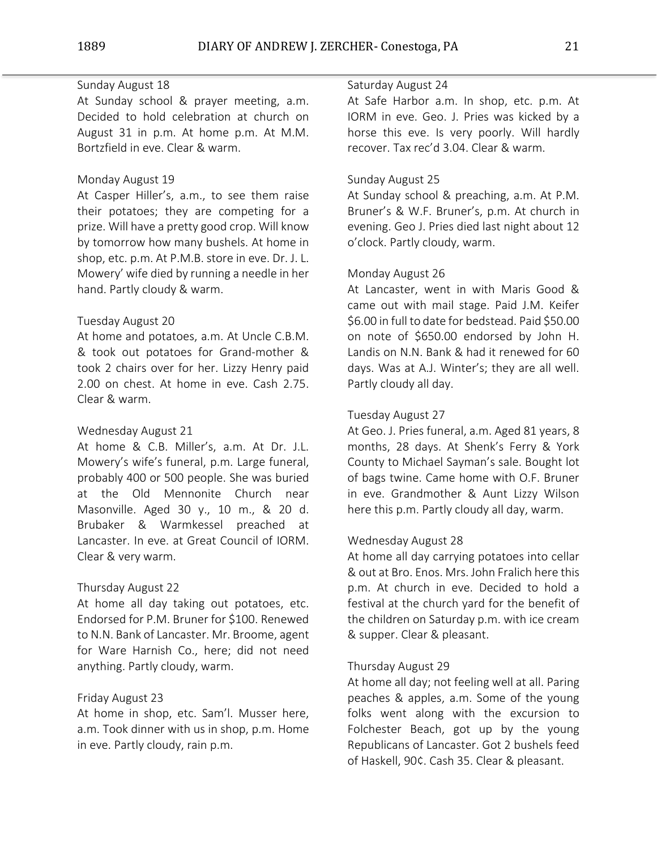## Sunday August 18

At Sunday school & prayer meeting, a.m. Decided to hold celebration at church on August 31 in p.m. At home p.m. At M.M. Bortzfield in eve. Clear & warm.

# Monday August 19

At Casper Hiller's, a.m., to see them raise their potatoes; they are competing for a prize. Will have a pretty good crop. Will know by tomorrow how many bushels. At home in shop, etc. p.m. At P.M.B. store in eve. Dr. J. L. Mowery' wife died by running a needle in her hand. Partly cloudy & warm.

## Tuesday August 20

At home and potatoes, a.m. At Uncle C.B.M. & took out potatoes for Grand-mother & took 2 chairs over for her. Lizzy Henry paid 2.00 on chest. At home in eve. Cash 2.75. Clear & warm.

# Wednesday August 21

At home & C.B. Miller's, a.m. At Dr. J.L. Mowery's wife's funeral, p.m. Large funeral, probably 400 or 500 people. She was buried at the Old Mennonite Church near Masonville. Aged 30 y., 10 m., & 20 d. Brubaker & Warmkessel preached at Lancaster. In eve. at Great Council of IORM. Clear & very warm.

### Thursday August 22

At home all day taking out potatoes, etc. Endorsed for P.M. Bruner for \$100. Renewed to N.N. Bank of Lancaster. Mr. Broome, agent for Ware Harnish Co., here; did not need anything. Partly cloudy, warm.

# Friday August 23

At home in shop, etc. Sam'l. Musser here, a.m. Took dinner with us in shop, p.m. Home in eve. Partly cloudy, rain p.m.

## Saturday August 24

At Safe Harbor a.m. In shop, etc. p.m. At IORM in eve. Geo. J. Pries was kicked by a horse this eve. Is very poorly. Will hardly recover. Tax rec'd 3.04. Clear & warm.

# Sunday August 25

At Sunday school & preaching, a.m. At P.M. Bruner's & W.F. Bruner's, p.m. At church in evening. Geo J. Pries died last night about 12 o'clock. Partly cloudy, warm.

### Monday August 26

At Lancaster, went in with Maris Good & came out with mail stage. Paid J.M. Keifer \$6.00 in full to date for bedstead. Paid \$50.00 on note of \$650.00 endorsed by John H. Landis on N.N. Bank & had it renewed for 60 days. Was at A.J. Winter's; they are all well. Partly cloudy all day.

# Tuesday August 27

At Geo. J. Pries funeral, a.m. Aged 81 years, 8 months, 28 days. At Shenk's Ferry & York County to Michael Sayman's sale. Bought lot of bags twine. Came home with O.F. Bruner in eve. Grandmother & Aunt Lizzy Wilson here this p.m. Partly cloudy all day, warm.

### Wednesday August 28

At home all day carrying potatoes into cellar & out at Bro. Enos. Mrs. John Fralich here this p.m. At church in eve. Decided to hold a festival at the church yard for the benefit of the children on Saturday p.m. with ice cream & supper. Clear & pleasant.

# Thursday August 29

At home all day; not feeling well at all. Paring peaches & apples, a.m. Some of the young folks went along with the excursion to Folchester Beach, got up by the young Republicans of Lancaster. Got 2 bushels feed of Haskell, 90¢. Cash 35. Clear & pleasant.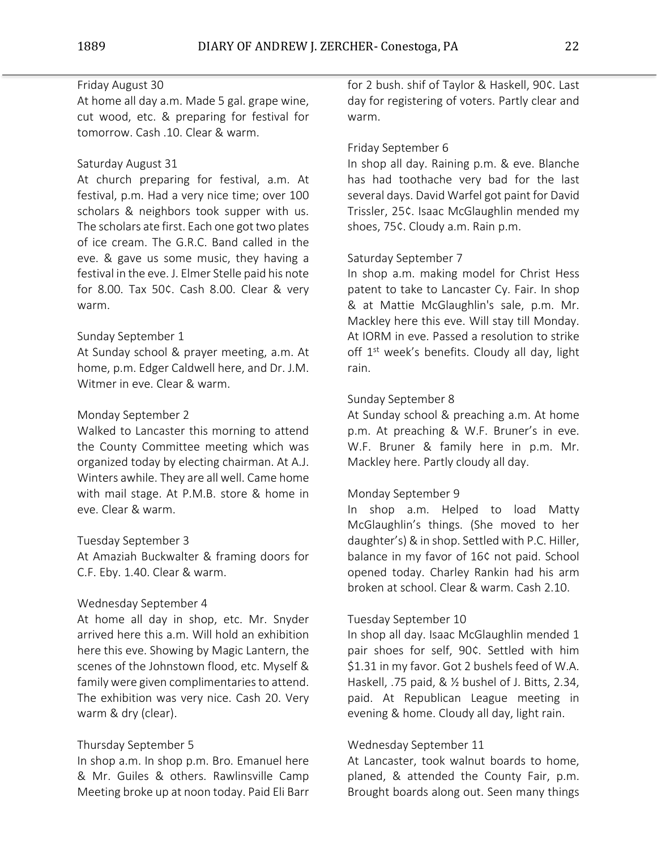# Friday August 30

At home all day a.m. Made 5 gal. grape wine, cut wood, etc. & preparing for festival for tomorrow. Cash .10. Clear & warm.

## Saturday August 31

At church preparing for festival, a.m. At festival, p.m. Had a very nice time; over 100 scholars & neighbors took supper with us. The scholars ate first. Each one got two plates of ice cream. The G.R.C. Band called in the eve. & gave us some music, they having a festival in the eve. J. Elmer Stelle paid his note for 8.00. Tax 50¢. Cash 8.00. Clear & very warm.

## Sunday September 1

At Sunday school & prayer meeting, a.m. At home, p.m. Edger Caldwell here, and Dr. J.M. Witmer in eve. Clear & warm.

## Monday September 2

Walked to Lancaster this morning to attend the County Committee meeting which was organized today by electing chairman. At A.J. Winters awhile. They are all well. Came home with mail stage. At P.M.B. store & home in eve. Clear & warm.

### Tuesday September 3

At Amaziah Buckwalter & framing doors for C.F. Eby. 1.40. Clear & warm.

# Wednesday September 4

At home all day in shop, etc. Mr. Snyder arrived here this a.m. Will hold an exhibition here this eve. Showing by Magic Lantern, the scenes of the Johnstown flood, etc. Myself & family were given complimentaries to attend. The exhibition was very nice. Cash 20. Very warm & dry (clear).

# Thursday September 5

In shop a.m. In shop p.m. Bro. Emanuel here & Mr. Guiles & others. Rawlinsville Camp Meeting broke up at noon today. Paid Eli Barr

for 2 bush. shif of Taylor & Haskell, 90¢. Last day for registering of voters. Partly clear and warm.

# Friday September 6

In shop all day. Raining p.m. & eve. Blanche has had toothache very bad for the last several days. David Warfel got paint for David Trissler, 25¢. Isaac McGlaughlin mended my shoes, 75¢. Cloudy a.m. Rain p.m.

## Saturday September 7

In shop a.m. making model for Christ Hess patent to take to Lancaster Cy. Fair. In shop & at Mattie McGlaughlin's sale, p.m. Mr. Mackley here this eve. Will stay till Monday. At IORM in eve. Passed a resolution to strike off 1<sup>st</sup> week's benefits. Cloudy all day, light rain.

## Sunday September 8

At Sunday school & preaching a.m. At home p.m. At preaching & W.F. Bruner's in eve. W.F. Bruner & family here in p.m. Mr. Mackley here. Partly cloudy all day.

### Monday September 9

In shop a.m. Helped to load Matty McGlaughlin's things. (She moved to her daughter's) & in shop. Settled with P.C. Hiller, balance in my favor of 16¢ not paid. School opened today. Charley Rankin had his arm broken at school. Clear & warm. Cash 2.10.

### Tuesday September 10

In shop all day. Isaac McGlaughlin mended 1 pair shoes for self, 90¢. Settled with him \$1.31 in my favor. Got 2 bushels feed of W.A. Haskell, .75 paid, & ½ bushel of J. Bitts, 2.34, paid. At Republican League meeting in evening & home. Cloudy all day, light rain.

# Wednesday September 11

At Lancaster, took walnut boards to home, planed, & attended the County Fair, p.m. Brought boards along out. Seen many things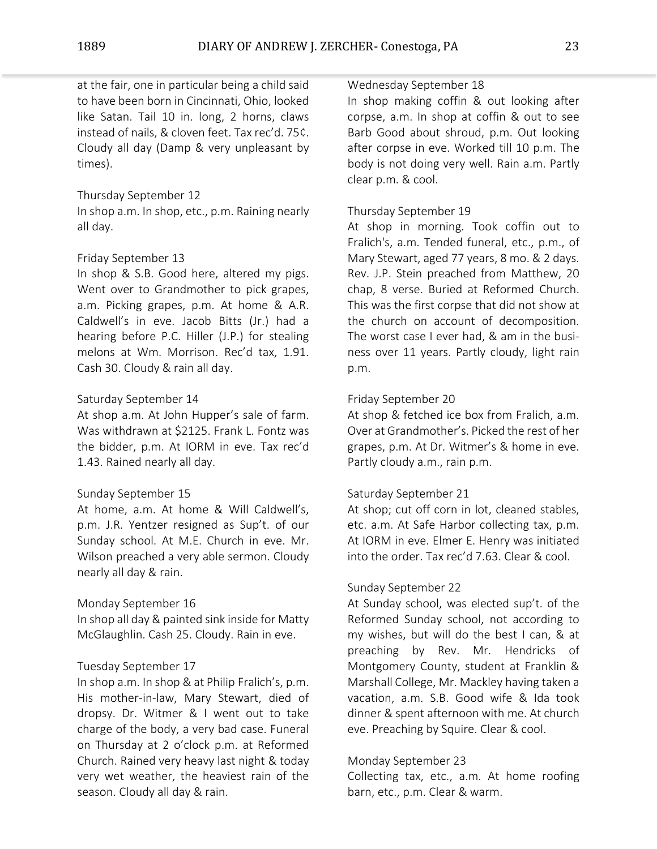at the fair, one in particular being a child said to have been born in Cincinnati, Ohio, looked like Satan. Tail 10 in. long, 2 horns, claws instead of nails, & cloven feet. Tax rec'd. 75¢. Cloudy all day (Damp & very unpleasant by times).

# Thursday September 12

In shop a.m. In shop, etc., p.m. Raining nearly all day.

## Friday September 13

In shop & S.B. Good here, altered my pigs. Went over to Grandmother to pick grapes, a.m. Picking grapes, p.m. At home & A.R. Caldwell's in eve. Jacob Bitts (Jr.) had a hearing before P.C. Hiller (J.P.) for stealing melons at Wm. Morrison. Rec'd tax, 1.91. Cash 30. Cloudy & rain all day.

## Saturday September 14

At shop a.m. At John Hupper's sale of farm. Was withdrawn at \$2125. Frank L. Fontz was the bidder, p.m. At IORM in eve. Tax rec'd 1.43. Rained nearly all day.

### Sunday September 15

At home, a.m. At home & Will Caldwell's, p.m. J.R. Yentzer resigned as Sup't. of our Sunday school. At M.E. Church in eve. Mr. Wilson preached a very able sermon. Cloudy nearly all day & rain.

### Monday September 16

In shop all day & painted sink inside for Matty McGlaughlin. Cash 25. Cloudy. Rain in eve.

### Tuesday September 17

In shop a.m. In shop & at Philip Fralich's, p.m. His mother-in-law, Mary Stewart, died of dropsy. Dr. Witmer & I went out to take charge of the body, a very bad case. Funeral on Thursday at 2 o'clock p.m. at Reformed Church. Rained very heavy last night & today very wet weather, the heaviest rain of the season. Cloudy all day & rain.

# Wednesday September 18

In shop making coffin & out looking after corpse, a.m. In shop at coffin & out to see Barb Good about shroud, p.m. Out looking after corpse in eve. Worked till 10 p.m. The body is not doing very well. Rain a.m. Partly clear p.m. & cool.

# Thursday September 19

At shop in morning. Took coffin out to Fralich's, a.m. Tended funeral, etc., p.m., of Mary Stewart, aged 77 years, 8 mo. & 2 days. Rev. J.P. Stein preached from Matthew, 20 chap, 8 verse. Buried at Reformed Church. This was the first corpse that did not show at the church on account of decomposition. The worst case I ever had, & am in the business over 11 years. Partly cloudy, light rain p.m.

## Friday September 20

At shop & fetched ice box from Fralich, a.m. Over at Grandmother's. Picked the rest of her grapes, p.m. At Dr. Witmer's & home in eve. Partly cloudy a.m., rain p.m.

### Saturday September 21

At shop; cut off corn in lot, cleaned stables, etc. a.m. At Safe Harbor collecting tax, p.m. At IORM in eve. Elmer E. Henry was initiated into the order. Tax rec'd 7.63. Clear & cool.

### Sunday September 22

At Sunday school, was elected sup't. of the Reformed Sunday school, not according to my wishes, but will do the best I can, & at preaching by Rev. Mr. Hendricks of Montgomery County, student at Franklin & Marshall College, Mr. Mackley having taken a vacation, a.m. S.B. Good wife & Ida took dinner & spent afternoon with me. At church eve. Preaching by Squire. Clear & cool.

# Monday September 23

Collecting tax, etc., a.m. At home roofing barn, etc., p.m. Clear & warm.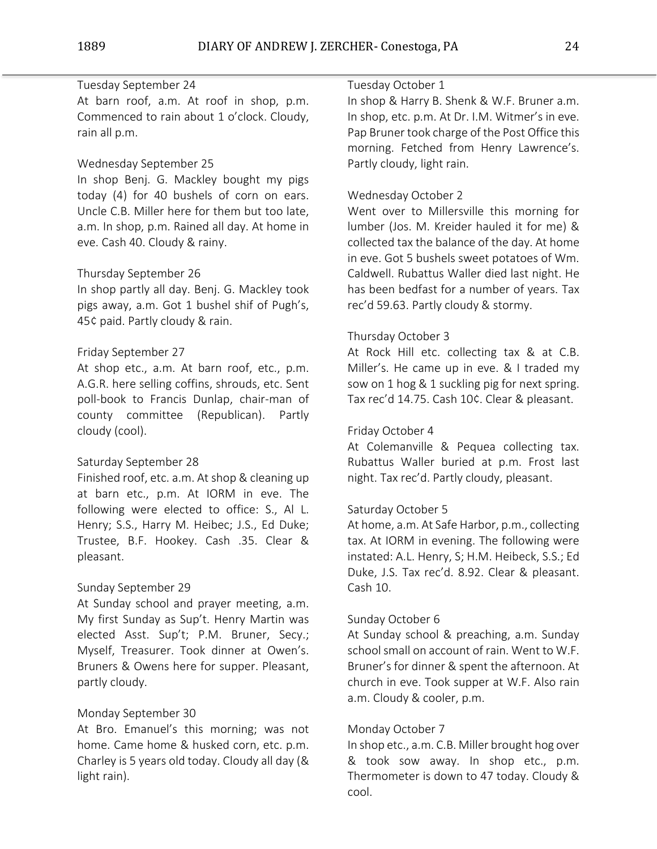## Tuesday September 24

At barn roof, a.m. At roof in shop, p.m. Commenced to rain about 1 o'clock. Cloudy, rain all p.m.

## Wednesday September 25

In shop Benj. G. Mackley bought my pigs today (4) for 40 bushels of corn on ears. Uncle C.B. Miller here for them but too late, a.m. In shop, p.m. Rained all day. At home in eve. Cash 40. Cloudy & rainy.

## Thursday September 26

In shop partly all day. Benj. G. Mackley took pigs away, a.m. Got 1 bushel shif of Pugh's, 45¢ paid. Partly cloudy & rain.

### Friday September 27

At shop etc., a.m. At barn roof, etc., p.m. A.G.R. here selling coffins, shrouds, etc. Sent poll-book to Francis Dunlap, chair-man of county committee (Republican). Partly cloudy (cool).

## Saturday September 28

Finished roof, etc. a.m. At shop & cleaning up at barn etc., p.m. At IORM in eve. The following were elected to office: S., Al L. Henry; S.S., Harry M. Heibec; J.S., Ed Duke; Trustee, B.F. Hookey. Cash .35. Clear & pleasant.

### Sunday September 29

At Sunday school and prayer meeting, a.m. My first Sunday as Sup't. Henry Martin was elected Asst. Sup't; P.M. Bruner, Secy.; Myself, Treasurer. Took dinner at Owen's. Bruners & Owens here for supper. Pleasant, partly cloudy.

## Monday September 30

At Bro. Emanuel's this morning; was not home. Came home & husked corn, etc. p.m. Charley is 5 years old today. Cloudy all day (& light rain).

## Tuesday October 1

In shop & Harry B. Shenk & W.F. Bruner a.m. In shop, etc. p.m. At Dr. I.M. Witmer's in eve. Pap Bruner took charge of the Post Office this morning. Fetched from Henry Lawrence's. Partly cloudy, light rain.

## Wednesday October 2

Went over to Millersville this morning for lumber (Jos. M. Kreider hauled it for me) & collected tax the balance of the day. At home in eve. Got 5 bushels sweet potatoes of Wm. Caldwell. Rubattus Waller died last night. He has been bedfast for a number of years. Tax rec'd 59.63. Partly cloudy & stormy.

### Thursday October 3

At Rock Hill etc. collecting tax & at C.B. Miller's. He came up in eve. & I traded my sow on 1 hog & 1 suckling pig for next spring. Tax rec'd 14.75. Cash 10¢. Clear & pleasant.

# Friday October 4

At Colemanville & Pequea collecting tax. Rubattus Waller buried at p.m. Frost last night. Tax rec'd. Partly cloudy, pleasant.

### Saturday October 5

At home, a.m. At Safe Harbor, p.m., collecting tax. At IORM in evening. The following were instated: A.L. Henry, S; H.M. Heibeck, S.S.; Ed Duke, J.S. Tax rec'd. 8.92. Clear & pleasant. Cash 10.

### Sunday October 6

At Sunday school & preaching, a.m. Sunday schoolsmall on account of rain. Went to W.F. Bruner's for dinner & spent the afternoon. At church in eve. Took supper at W.F. Also rain a.m. Cloudy & cooler, p.m.

### Monday October 7

In shop etc., a.m. C.B. Miller brought hog over & took sow away. In shop etc., p.m. Thermometer is down to 47 today. Cloudy & cool.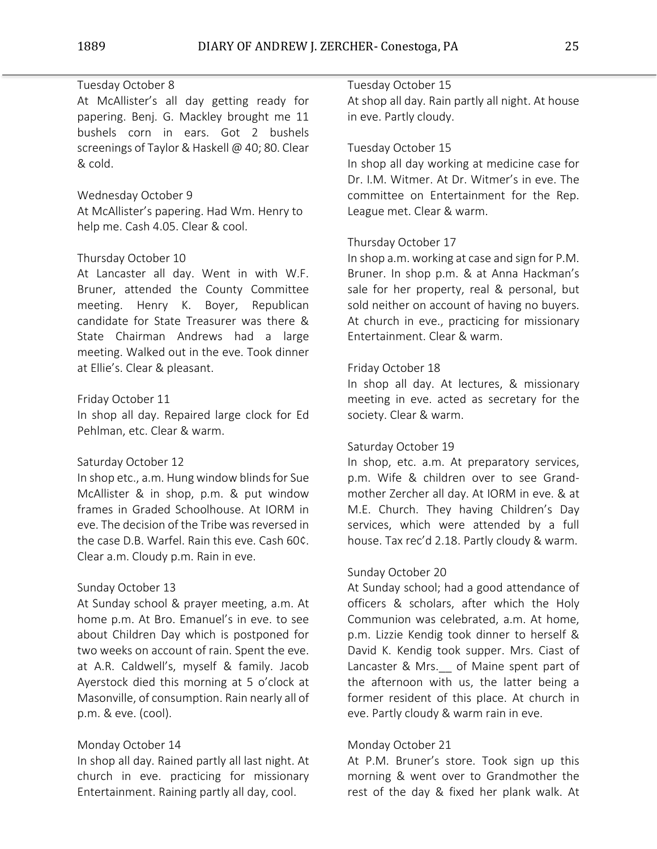# Tuesday October 8

At McAllister's all day getting ready for papering. Benj. G. Mackley brought me 11 bushels corn in ears. Got 2 bushels screenings of Taylor & Haskell @ 40; 80. Clear & cold.

## Wednesday October 9

At McAllister's papering. Had Wm. Henry to help me. Cash 4.05. Clear & cool.

### Thursday October 10

At Lancaster all day. Went in with W.F. Bruner, attended the County Committee meeting. Henry K. Boyer, Republican candidate for State Treasurer was there & State Chairman Andrews had a large meeting. Walked out in the eve. Took dinner at Ellie's. Clear & pleasant.

#### Friday October 11

In shop all day. Repaired large clock for Ed Pehlman, etc. Clear & warm.

### Saturday October 12

In shop etc., a.m. Hung window blinds for Sue McAllister & in shop, p.m. & put window frames in Graded Schoolhouse. At IORM in eve. The decision of the Tribe was reversed in the case D.B. Warfel. Rain this eve. Cash 60¢. Clear a.m. Cloudy p.m. Rain in eve.

### Sunday October 13

At Sunday school & prayer meeting, a.m. At home p.m. At Bro. Emanuel's in eve. to see about Children Day which is postponed for two weeks on account of rain. Spent the eve. at A.R. Caldwell's, myself & family. Jacob Ayerstock died this morning at 5 o'clock at Masonville, of consumption. Rain nearly all of p.m. & eve. (cool).

### Monday October 14

In shop all day. Rained partly all last night. At church in eve. practicing for missionary Entertainment. Raining partly all day, cool.

# Tuesday October 15

At shop all day. Rain partly all night. At house in eve. Partly cloudy.

# Tuesday October 15

In shop all day working at medicine case for Dr. I.M. Witmer. At Dr. Witmer's in eve. The committee on Entertainment for the Rep. League met. Clear & warm.

#### Thursday October 17

In shop a.m. working at case and sign for P.M. Bruner. In shop p.m. & at Anna Hackman's sale for her property, real & personal, but sold neither on account of having no buyers. At church in eve., practicing for missionary Entertainment. Clear & warm.

### Friday October 18

In shop all day. At lectures, & missionary meeting in eve. acted as secretary for the society. Clear & warm.

### Saturday October 19

In shop, etc. a.m. At preparatory services, p.m. Wife & children over to see Grandmother Zercher all day. At IORM in eve. & at M.E. Church. They having Children's Day services, which were attended by a full house. Tax rec'd 2.18. Partly cloudy & warm.

# Sunday October 20

At Sunday school; had a good attendance of officers & scholars, after which the Holy Communion was celebrated, a.m. At home, p.m. Lizzie Kendig took dinner to herself & David K. Kendig took supper. Mrs. Ciast of Lancaster & Mrs. of Maine spent part of the afternoon with us, the latter being a former resident of this place. At church in eve. Partly cloudy & warm rain in eve.

### Monday October 21

At P.M. Bruner's store. Took sign up this morning & went over to Grandmother the rest of the day & fixed her plank walk. At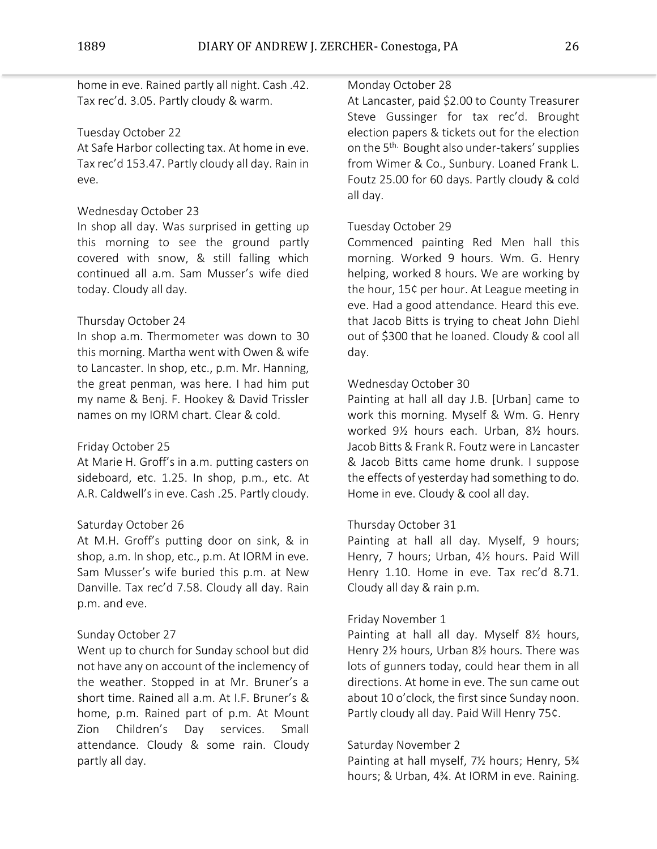home in eve. Rained partly all night. Cash .42. Tax rec'd. 3.05. Partly cloudy & warm.

## Tuesday October 22

At Safe Harbor collecting tax. At home in eve. Tax rec'd 153.47. Partly cloudy all day. Rain in eve.

## Wednesday October 23

In shop all day. Was surprised in getting up this morning to see the ground partly covered with snow, & still falling which continued all a.m. Sam Musser's wife died today. Cloudy all day.

## Thursday October 24

In shop a.m. Thermometer was down to 30 this morning. Martha went with Owen & wife to Lancaster. In shop, etc., p.m. Mr. Hanning, the great penman, was here. I had him put my name & Benj. F. Hookey & David Trissler names on my IORM chart. Clear & cold.

### Friday October 25

At Marie H. Groff's in a.m. putting casters on sideboard, etc. 1.25. In shop, p.m., etc. At A.R. Caldwell's in eve. Cash .25. Partly cloudy.

### Saturday October 26

At M.H. Groff's putting door on sink, & in shop, a.m. In shop, etc., p.m. At IORM in eve. Sam Musser's wife buried this p.m. at New Danville. Tax rec'd 7.58. Cloudy all day. Rain p.m. and eve.

### Sunday October 27

Went up to church for Sunday school but did not have any on account of the inclemency of the weather. Stopped in at Mr. Bruner's a short time. Rained all a.m. At I.F. Bruner's & home, p.m. Rained part of p.m. At Mount Zion Children's Day services. Small attendance. Cloudy & some rain. Cloudy partly all day.

## Monday October 28

At Lancaster, paid \$2.00 to County Treasurer Steve Gussinger for tax rec'd. Brought election papers & tickets out for the election on the 5<sup>th.</sup> Bought also under-takers' supplies from Wimer & Co., Sunbury. Loaned Frank L. Foutz 25.00 for 60 days. Partly cloudy & cold all day.

## Tuesday October 29

Commenced painting Red Men hall this morning. Worked 9 hours. Wm. G. Henry helping, worked 8 hours. We are working by the hour, 15¢ per hour. At League meeting in eve. Had a good attendance. Heard this eve. that Jacob Bitts is trying to cheat John Diehl out of \$300 that he loaned. Cloudy & cool all day.

## Wednesday October 30

Painting at hall all day J.B. [Urban] came to work this morning. Myself & Wm. G. Henry worked 9½ hours each. Urban, 8½ hours. Jacob Bitts & Frank R. Foutz were in Lancaster & Jacob Bitts came home drunk. I suppose the effects of yesterday had something to do. Home in eve. Cloudy & cool all day.

# Thursday October 31

Painting at hall all day. Myself, 9 hours; Henry, 7 hours; Urban, 4½ hours. Paid Will Henry 1.10. Home in eve. Tax rec'd 8.71. Cloudy all day & rain p.m.

### Friday November 1

Painting at hall all day. Myself 8½ hours, Henry 2½ hours, Urban 8½ hours. There was lots of gunners today, could hear them in all directions. At home in eve. The sun came out about 10 o'clock, the first since Sunday noon. Partly cloudy all day. Paid Will Henry 75¢.

### Saturday November 2

Painting at hall myself, 7½ hours; Henry, 5¾ hours; & Urban, 4¾. At IORM in eve. Raining.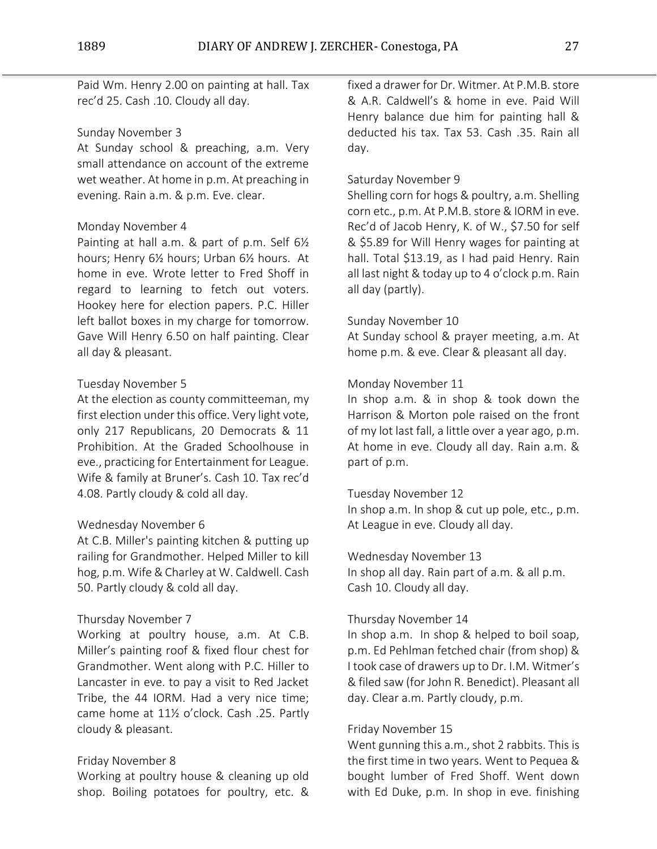Paid Wm. Henry 2.00 on painting at hall. Tax rec'd 25. Cash .10. Cloudy all day.

## Sunday November 3

At Sunday school & preaching, a.m. Very small attendance on account of the extreme wet weather. At home in p.m. At preaching in evening. Rain a.m. & p.m. Eve. clear.

## Monday November 4

Painting at hall a.m. & part of p.m. Self 6½ hours; Henry 6½ hours; Urban 6½ hours. At home in eve. Wrote letter to Fred Shoff in regard to learning to fetch out voters. Hookey here for election papers. P.C. Hiller left ballot boxes in my charge for tomorrow. Gave Will Henry 6.50 on half painting. Clear all day & pleasant.

## Tuesday November 5

At the election as county committeeman, my first election under this office. Very light vote, only 217 Republicans, 20 Democrats & 11 Prohibition. At the Graded Schoolhouse in eve., practicing for Entertainment for League. Wife & family at Bruner's. Cash 10. Tax rec'd 4.08. Partly cloudy & cold all day.

## Wednesday November 6

At C.B. Miller's painting kitchen & putting up railing for Grandmother. Helped Miller to kill hog, p.m. Wife & Charley at W. Caldwell. Cash 50. Partly cloudy & cold all day.

### Thursday November 7

Working at poultry house, a.m. At C.B. Miller's painting roof & fixed flour chest for Grandmother. Went along with P.C. Hiller to Lancaster in eve. to pay a visit to Red Jacket Tribe, the 44 IORM. Had a very nice time; came home at 11½ o'clock. Cash .25. Partly cloudy & pleasant.

### Friday November 8

Working at poultry house & cleaning up old shop. Boiling potatoes for poultry, etc. &

fixed a drawer for Dr. Witmer. At P.M.B. store & A.R. Caldwell's & home in eve. Paid Will Henry balance due him for painting hall & deducted his tax. Tax 53. Cash .35. Rain all day.

## Saturday November 9

Shelling corn for hogs & poultry, a.m. Shelling corn etc., p.m. At P.M.B. store & IORM in eve. Rec'd of Jacob Henry, K. of W., \$7.50 for self & \$5.89 for Will Henry wages for painting at hall. Total \$13.19, as I had paid Henry. Rain all last night & today up to 4 o'clock p.m. Rain all day (partly).

## Sunday November 10

At Sunday school & prayer meeting, a.m. At home p.m. & eve. Clear & pleasant all day.

# Monday November 11

In shop a.m. & in shop & took down the Harrison & Morton pole raised on the front of my lot last fall, a little over a year ago, p.m. At home in eve. Cloudy all day. Rain a.m. & part of p.m.

### Tuesday November 12

In shop a.m. In shop & cut up pole, etc., p.m. At League in eve. Cloudy all day.

Wednesday November 13

In shop all day. Rain part of a.m. & all p.m. Cash 10. Cloudy all day.

### Thursday November 14

In shop a.m. In shop & helped to boil soap, p.m. Ed Pehlman fetched chair (from shop) & I took case of drawers up to Dr. I.M. Witmer's & filed saw (for John R. Benedict). Pleasant all day. Clear a.m. Partly cloudy, p.m.

### Friday November 15

Went gunning this a.m., shot 2 rabbits. This is the first time in two years. Went to Pequea & bought lumber of Fred Shoff. Went down with Ed Duke, p.m. In shop in eve. finishing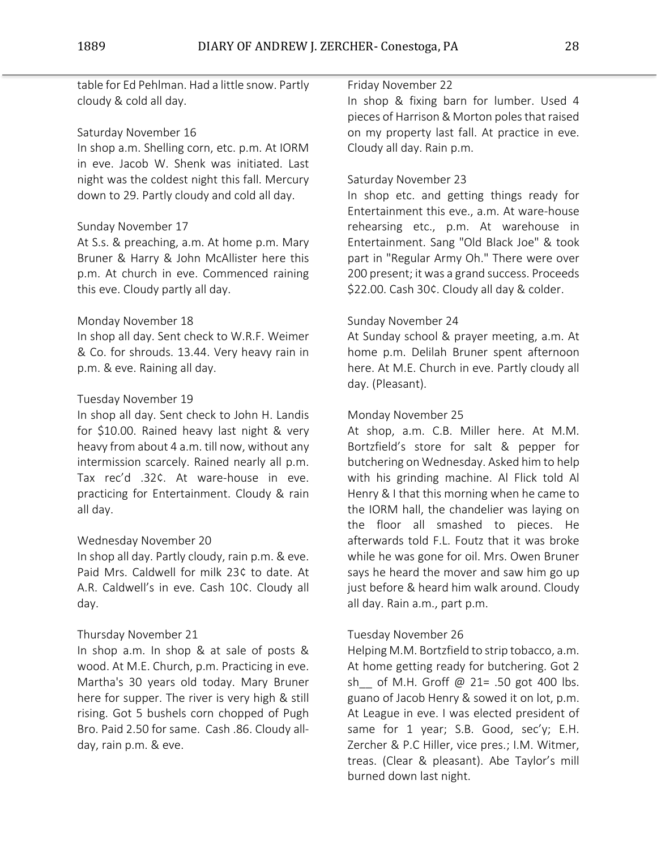table for Ed Pehlman. Had a little snow. Partly cloudy & cold all day.

# Saturday November 16

In shop a.m. Shelling corn, etc. p.m. At IORM in eve. Jacob W. Shenk was initiated. Last night was the coldest night this fall. Mercury down to 29. Partly cloudy and cold all day.

## Sunday November 17

At S.s. & preaching, a.m. At home p.m. Mary Bruner & Harry & John McAllister here this p.m. At church in eve. Commenced raining this eve. Cloudy partly all day.

## Monday November 18

In shop all day. Sent check to W.R.F. Weimer & Co. for shrouds. 13.44. Very heavy rain in p.m. & eve. Raining all day.

## Tuesday November 19

In shop all day. Sent check to John H. Landis for \$10.00. Rained heavy last night & very heavy from about 4 a.m. till now, without any intermission scarcely. Rained nearly all p.m. Tax rec'd .32¢. At ware-house in eve. practicing for Entertainment. Cloudy & rain all day.

### Wednesday November 20

In shop all day. Partly cloudy, rain p.m. & eve. Paid Mrs. Caldwell for milk 23¢ to date. At A.R. Caldwell's in eve. Cash 10¢. Cloudy all day.

### Thursday November 21

In shop a.m. In shop & at sale of posts & wood. At M.E. Church, p.m. Practicing in eve. Martha's 30 years old today. Mary Bruner here for supper. The river is very high & still rising. Got 5 bushels corn chopped of Pugh Bro. Paid 2.50 for same. Cash .86. Cloudy allday, rain p.m. & eve.

## Friday November 22

In shop & fixing barn for lumber. Used 4 pieces of Harrison & Morton poles that raised on my property last fall. At practice in eve. Cloudy all day. Rain p.m.

## Saturday November 23

In shop etc. and getting things ready for Entertainment this eve., a.m. At ware-house rehearsing etc., p.m. At warehouse in Entertainment. Sang "Old Black Joe" & took part in "Regular Army Oh." There were over 200 present; it was a grand success. Proceeds \$22.00. Cash 30¢. Cloudy all day & colder.

## Sunday November 24

At Sunday school & prayer meeting, a.m. At home p.m. Delilah Bruner spent afternoon here. At M.E. Church in eve. Partly cloudy all day. (Pleasant).

# Monday November 25

At shop, a.m. C.B. Miller here. At M.M. Bortzfield's store for salt & pepper for butchering on Wednesday. Asked him to help with his grinding machine. Al Flick told Al Henry & I that this morning when he came to the IORM hall, the chandelier was laying on the floor all smashed to pieces. He afterwards told F.L. Foutz that it was broke while he was gone for oil. Mrs. Owen Bruner says he heard the mover and saw him go up just before & heard him walk around. Cloudy all day. Rain a.m., part p.m.

### Tuesday November 26

Helping M.M. Bortzfield to strip tobacco, a.m. At home getting ready for butchering. Got 2 sh\_\_ of M.H. Groff @ 21= .50 got 400 lbs. guano of Jacob Henry & sowed it on lot, p.m. At League in eve. I was elected president of same for 1 year; S.B. Good, sec'y; E.H. Zercher & P.C Hiller, vice pres.; I.M. Witmer, treas. (Clear & pleasant). Abe Taylor's mill burned down last night.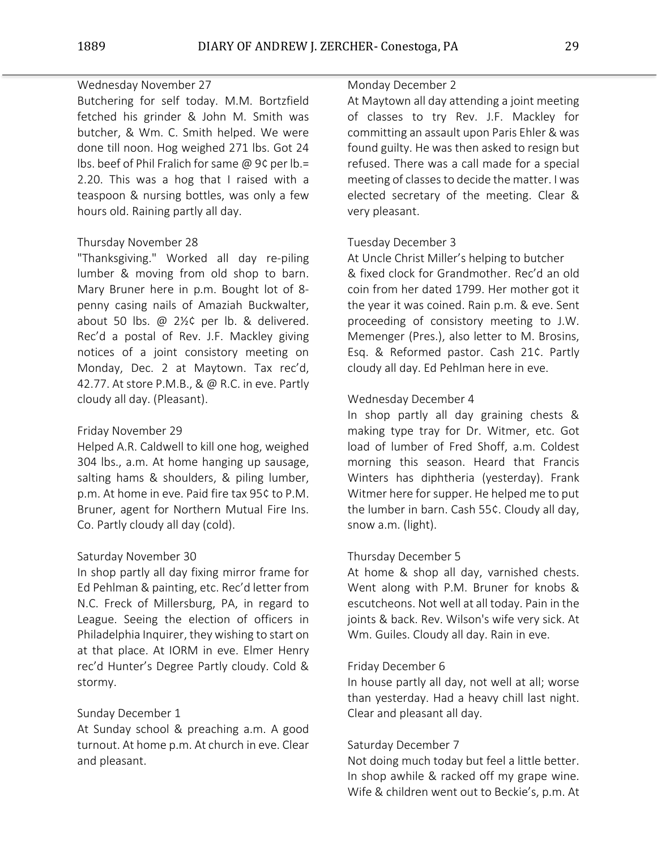# Wednesday November 27

Butchering for self today. M.M. Bortzfield fetched his grinder & John M. Smith was butcher, & Wm. C. Smith helped. We were done till noon. Hog weighed 271 lbs. Got 24 lbs. beef of Phil Fralich for same @ 9¢ per lb.= 2.20. This was a hog that I raised with a teaspoon & nursing bottles, was only a few hours old. Raining partly all day.

## Thursday November 28

"Thanksgiving." Worked all day re-piling lumber & moving from old shop to barn. Mary Bruner here in p.m. Bought lot of 8 penny casing nails of Amaziah Buckwalter, about 50 lbs. @ 2½¢ per lb. & delivered. Rec'd a postal of Rev. J.F. Mackley giving notices of a joint consistory meeting on Monday, Dec. 2 at Maytown. Tax rec'd, 42.77. At store P.M.B., & @ R.C. in eve. Partly cloudy all day. (Pleasant).

## Friday November 29

Helped A.R. Caldwell to kill one hog, weighed 304 lbs., a.m. At home hanging up sausage, salting hams & shoulders, & piling lumber, p.m. At home in eve. Paid fire tax 95¢ to P.M. Bruner, agent for Northern Mutual Fire Ins. Co. Partly cloudy all day (cold).

### Saturday November 30

In shop partly all day fixing mirror frame for Ed Pehlman & painting, etc. Rec'd letter from N.C. Freck of Millersburg, PA, in regard to League. Seeing the election of officers in Philadelphia Inquirer, they wishing to start on at that place. At IORM in eve. Elmer Henry rec'd Hunter's Degree Partly cloudy. Cold & stormy.

# Sunday December 1

At Sunday school & preaching a.m. A good turnout. At home p.m. At church in eve. Clear and pleasant.

## Monday December 2

At Maytown all day attending a joint meeting of classes to try Rev. J.F. Mackley for committing an assault upon Paris Ehler & was found guilty. He was then asked to resign but refused. There was a call made for a special meeting of classes to decide the matter. I was elected secretary of the meeting. Clear & very pleasant.

## Tuesday December 3

At Uncle Christ Miller's helping to butcher & fixed clock for Grandmother. Rec'd an old coin from her dated 1799. Her mother got it the year it was coined. Rain p.m. & eve. Sent proceeding of consistory meeting to J.W. Memenger (Pres.), also letter to M. Brosins, Esq. & Reformed pastor. Cash 21¢. Partly cloudy all day. Ed Pehlman here in eve.

## Wednesday December 4

In shop partly all day graining chests & making type tray for Dr. Witmer, etc. Got load of lumber of Fred Shoff, a.m. Coldest morning this season. Heard that Francis Winters has diphtheria (yesterday). Frank Witmer here for supper. He helped me to put the lumber in barn. Cash 55¢. Cloudy all day, snow a.m. (light).

# Thursday December 5

At home & shop all day, varnished chests. Went along with P.M. Bruner for knobs & escutcheons. Not well at all today. Pain in the joints & back. Rev. Wilson's wife very sick. At Wm. Guiles. Cloudy all day. Rain in eve.

### Friday December 6

In house partly all day, not well at all; worse than yesterday. Had a heavy chill last night. Clear and pleasant all day.

# Saturday December 7

Not doing much today but feel a little better. In shop awhile & racked off my grape wine. Wife & children went out to Beckie's, p.m. At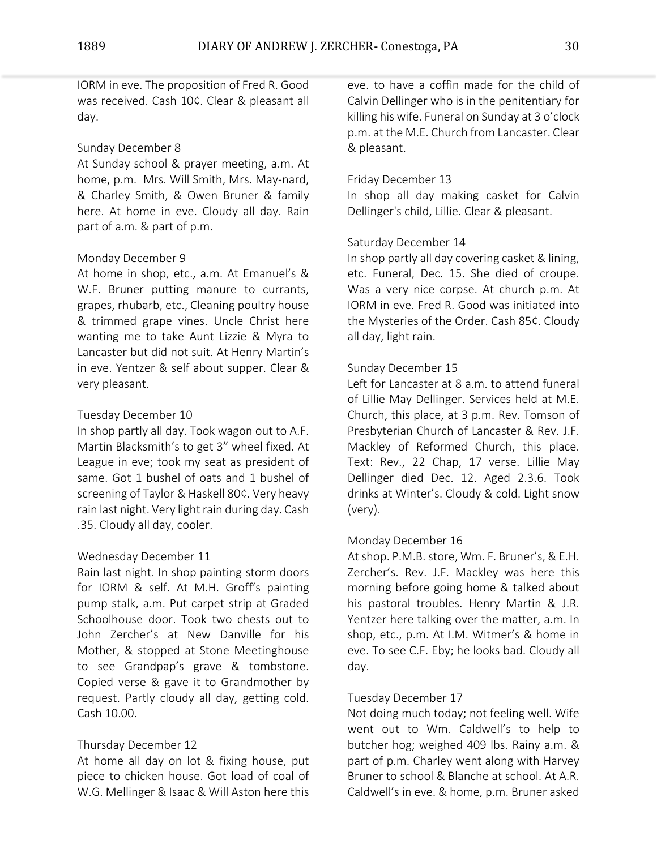IORM in eve. The proposition of Fred R. Good was received. Cash 10¢. Clear & pleasant all day.

# Sunday December 8

At Sunday school & prayer meeting, a.m. At home, p.m. Mrs. Will Smith, Mrs. May-nard, & Charley Smith, & Owen Bruner & family here. At home in eve. Cloudy all day. Rain part of a.m. & part of p.m.

# Monday December 9

At home in shop, etc., a.m. At Emanuel's & W.F. Bruner putting manure to currants, grapes, rhubarb, etc., Cleaning poultry house & trimmed grape vines. Uncle Christ here wanting me to take Aunt Lizzie & Myra to Lancaster but did not suit. At Henry Martin's in eve. Yentzer & self about supper. Clear & very pleasant.

# Tuesday December 10

In shop partly all day. Took wagon out to A.F. Martin Blacksmith's to get 3" wheel fixed. At League in eve; took my seat as president of same. Got 1 bushel of oats and 1 bushel of screening of Taylor & Haskell 80¢. Very heavy rain last night. Very light rain during day. Cash .35. Cloudy all day, cooler.

# Wednesday December 11

Rain last night. In shop painting storm doors for IORM & self. At M.H. Groff's painting pump stalk, a.m. Put carpet strip at Graded Schoolhouse door. Took two chests out to John Zercher's at New Danville for his Mother, & stopped at Stone Meetinghouse to see Grandpap's grave & tombstone. Copied verse & gave it to Grandmother by request. Partly cloudy all day, getting cold. Cash 10.00.

# Thursday December 12

At home all day on lot & fixing house, put piece to chicken house. Got load of coal of W.G. Mellinger & Isaac & Will Aston here this

eve. to have a coffin made for the child of Calvin Dellinger who is in the penitentiary for killing his wife. Funeral on Sunday at 3 o'clock p.m. at the M.E. Church from Lancaster. Clear & pleasant.

# Friday December 13

In shop all day making casket for Calvin Dellinger's child, Lillie. Clear & pleasant.

# Saturday December 14

In shop partly all day covering casket & lining, etc. Funeral, Dec. 15. She died of croupe. Was a very nice corpse. At church p.m. At IORM in eve. Fred R. Good was initiated into the Mysteries of the Order. Cash 85¢. Cloudy all day, light rain.

# Sunday December 15

Left for Lancaster at 8 a.m. to attend funeral of Lillie May Dellinger. Services held at M.E. Church, this place, at 3 p.m. Rev. Tomson of Presbyterian Church of Lancaster & Rev. J.F. Mackley of Reformed Church, this place. Text: Rev., 22 Chap, 17 verse. Lillie May Dellinger died Dec. 12. Aged 2.3.6. Took drinks at Winter's. Cloudy & cold. Light snow (very).

# Monday December 16

At shop. P.M.B. store, Wm. F. Bruner's, & E.H. Zercher's. Rev. J.F. Mackley was here this morning before going home & talked about his pastoral troubles. Henry Martin & J.R. Yentzer here talking over the matter, a.m. In shop, etc., p.m. At I.M. Witmer's & home in eve. To see C.F. Eby; he looks bad. Cloudy all day.

# Tuesday December 17

Not doing much today; not feeling well. Wife went out to Wm. Caldwell's to help to butcher hog; weighed 409 lbs. Rainy a.m. & part of p.m. Charley went along with Harvey Bruner to school & Blanche at school. At A.R. Caldwell's in eve. & home, p.m. Bruner asked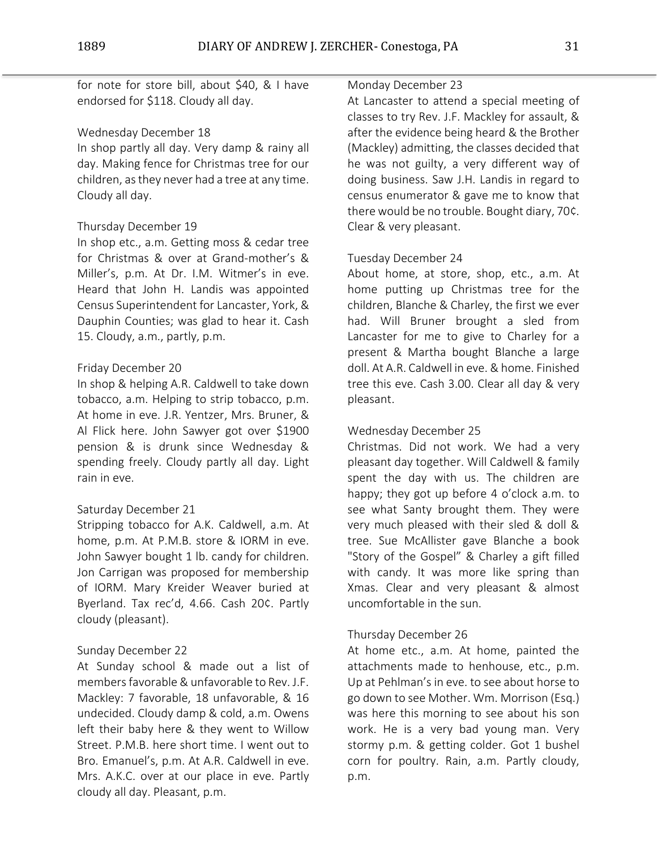for note for store bill, about \$40, & I have endorsed for \$118. Cloudy all day.

# Wednesday December 18

In shop partly all day. Very damp & rainy all day. Making fence for Christmas tree for our children, as they never had a tree at any time. Cloudy all day.

# Thursday December 19

In shop etc., a.m. Getting moss & cedar tree for Christmas & over at Grand-mother's & Miller's, p.m. At Dr. I.M. Witmer's in eve. Heard that John H. Landis was appointed Census Superintendent for Lancaster, York, & Dauphin Counties; was glad to hear it. Cash 15. Cloudy, a.m., partly, p.m.

# Friday December 20

In shop & helping A.R. Caldwell to take down tobacco, a.m. Helping to strip tobacco, p.m. At home in eve. J.R. Yentzer, Mrs. Bruner, & Al Flick here. John Sawyer got over \$1900 pension & is drunk since Wednesday & spending freely. Cloudy partly all day. Light rain in eve.

# Saturday December 21

Stripping tobacco for A.K. Caldwell, a.m. At home, p.m. At P.M.B. store & IORM in eve. John Sawyer bought 1 lb. candy for children. Jon Carrigan was proposed for membership of IORM. Mary Kreider Weaver buried at Byerland. Tax rec'd, 4.66. Cash 20¢. Partly cloudy (pleasant).

# Sunday December 22

At Sunday school & made out a list of members favorable & unfavorable to Rev. J.F. Mackley: 7 favorable, 18 unfavorable, & 16 undecided. Cloudy damp & cold, a.m. Owens left their baby here & they went to Willow Street. P.M.B. here short time. I went out to Bro. Emanuel's, p.m. At A.R. Caldwell in eve. Mrs. A.K.C. over at our place in eve. Partly cloudy all day. Pleasant, p.m.

# Monday December 23

At Lancaster to attend a special meeting of classes to try Rev. J.F. Mackley for assault, & after the evidence being heard & the Brother (Mackley) admitting, the classes decided that he was not guilty, a very different way of doing business. Saw J.H. Landis in regard to census enumerator & gave me to know that there would be no trouble. Bought diary, 70¢. Clear & very pleasant.

# Tuesday December 24

About home, at store, shop, etc., a.m. At home putting up Christmas tree for the children, Blanche & Charley, the first we ever had. Will Bruner brought a sled from Lancaster for me to give to Charley for a present & Martha bought Blanche a large doll. At A.R. Caldwell in eve. & home. Finished tree this eve. Cash 3.00. Clear all day & very pleasant.

# Wednesday December 25

Christmas. Did not work. We had a very pleasant day together. Will Caldwell & family spent the day with us. The children are happy; they got up before 4 o'clock a.m. to see what Santy brought them. They were very much pleased with their sled & doll & tree. Sue McAllister gave Blanche a book "Story of the Gospel" & Charley a gift filled with candy. It was more like spring than Xmas. Clear and very pleasant & almost uncomfortable in the sun.

# Thursday December 26

At home etc., a.m. At home, painted the attachments made to henhouse, etc., p.m. Up at Pehlman's in eve. to see about horse to go down to see Mother. Wm. Morrison (Esq.) was here this morning to see about his son work. He is a very bad young man. Very stormy p.m. & getting colder. Got 1 bushel corn for poultry. Rain, a.m. Partly cloudy, p.m.